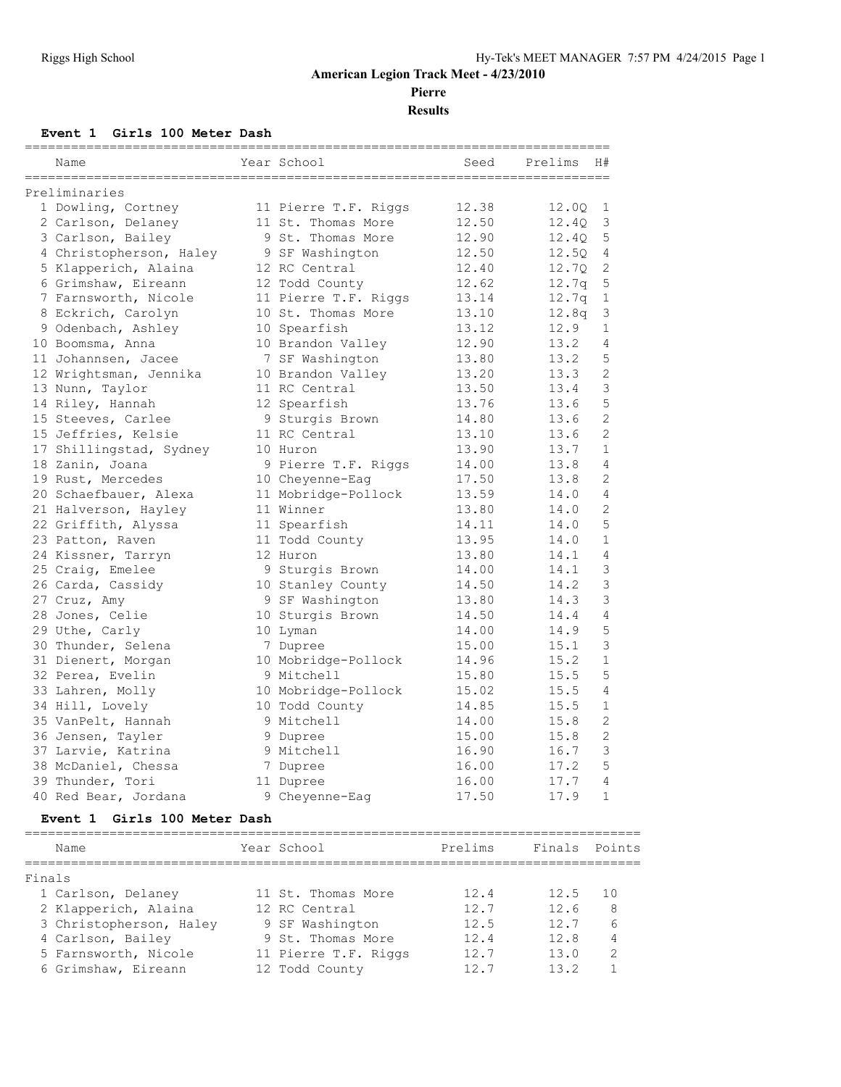**Pierre**

**Results**

## **Event 1 Girls 100 Meter Dash**

| Name                    | Year School          | $====$<br>Seed | ===========<br>Prelims<br>H# |
|-------------------------|----------------------|----------------|------------------------------|
| Preliminaries           |                      |                |                              |
| 1 Dowling, Cortney      | 11 Pierre T.F. Riggs | 12.38          | 12.00<br>1                   |
| 2 Carlson, Delaney      | 11 St. Thomas More   | 12.50          | 3<br>12.40                   |
| 3 Carlson, Bailey       | 9 St. Thomas More    | 12.90          | 12.4Q<br>5                   |
| 4 Christopherson, Haley | 9 SF Washington      | 12.50          | 12.5Q<br>4                   |
| 5 Klapperich, Alaina    | 12 RC Central        | 12.40          | $\mathbf{2}$<br>12.70        |
| 6 Grimshaw, Eireann     | 12 Todd County       | 12.62          | 12.7q<br>5                   |
| 7 Farnsworth, Nicole    | 11 Pierre T.F. Riggs | 13.14          | 12.7q<br>$\mathbf{1}$        |
| 8 Eckrich, Carolyn      | 10 St. Thomas More   | 13.10          | 12.8q<br>3                   |
| 9 Odenbach, Ashley      | 10 Spearfish         | 13.12          | 12.9<br>$\mathbf{1}$         |
| 10 Boomsma, Anna        | 10 Brandon Valley    | 12.90          | 13.2<br>4                    |
| 11 Johannsen, Jacee     | 7 SF Washington      | 13.80          | 13.2<br>5                    |
| 12 Wrightsman, Jennika  | 10 Brandon Valley    | 13.20          | $\overline{2}$<br>13.3       |
| 13 Nunn, Taylor         | 11 RC Central        | 13.50          | $\mathcal{S}$<br>13.4        |
| 14 Riley, Hannah        | 12 Spearfish         | 13.76          | 5<br>13.6                    |
| 15 Steeves, Carlee      | 9 Sturgis Brown      | 14.80          | $\overline{2}$<br>13.6       |
| 15 Jeffries, Kelsie     | 11 RC Central        | 13.10          | $\overline{2}$<br>13.6       |
| 17 Shillingstad, Sydney | 10 Huron             | 13.90          | 13.7<br>$\mathbf{1}$         |
| 18 Zanin, Joana         | 9 Pierre T.F. Riggs  | 14.00          | 13.8<br>4                    |
| 19 Rust, Mercedes       | 10 Cheyenne-Eaq      | 17.50          | 2<br>13.8                    |
| 20 Schaefbauer, Alexa   | 11 Mobridge-Pollock  | 13.59          | $\overline{4}$<br>14.0       |
| 21 Halverson, Hayley    | 11 Winner            | 13.80          | 2<br>14.0                    |
| 22 Griffith, Alyssa     | 11 Spearfish         | 14.11          | 5<br>14.0                    |
| 23 Patton, Raven        | 11 Todd County       | 13.95          | 14.0<br>$\mathbf{1}$         |
| 24 Kissner, Tarryn      | 12 Huron             | 13.80          | 14.1<br>4                    |
| 25 Craig, Emelee        | 9 Sturgis Brown      | 14.00          | 14.1<br>3                    |
| 26 Carda, Cassidy       | 10 Stanley County    | 14.50          | 3<br>14.2                    |
| 27 Cruz, Amy            | 9 SF Washington      | 13.80          | 3<br>14.3                    |
| 28 Jones, Celie         | 10 Sturgis Brown     | 14.50          | 14.4<br>$\overline{4}$       |
| 29 Uthe, Carly          | 10 Lyman             | 14.00          | 5<br>14.9                    |
| 30 Thunder, Selena      | 7 Dupree             | 15.00          | 3<br>15.1                    |
| 31 Dienert, Morgan      | 10 Mobridge-Pollock  | 14.96          | $\mathbf{1}$<br>15.2         |
| 32 Perea, Evelin        | 9 Mitchell           | 15.80          | 15.5<br>5                    |
| 33 Lahren, Molly        | 10 Mobridge-Pollock  | 15.02          | $\overline{4}$<br>15.5       |
| 34 Hill, Lovely         | 10 Todd County       | 14.85          | 15.5<br>$\mathbf 1$          |
| 35 VanPelt, Hannah      | 9 Mitchell           | 14.00          | 2<br>15.8                    |
| 36 Jensen, Tayler       | 9 Dupree             | 15.00          | 2<br>15.8                    |
| 37 Larvie, Katrina      | 9 Mitchell           | 16.90          | 3<br>16.7                    |
| 38 McDaniel, Chessa     | 7 Dupree             | 16.00          | 5<br>17.2                    |
| 39 Thunder, Tori        | 11 Dupree            | 16.00          | $\overline{4}$<br>17.7       |
| 40 Red Bear, Jordana    | 9 Cheyenne-Eag       | 17.50          | 17.9<br>$\mathbf{1}$         |

## **Event 1 Girls 100 Meter Dash**

| Name                    | Year School          | Prelims | Finals Points |               |
|-------------------------|----------------------|---------|---------------|---------------|
| Finals                  |                      |         |               |               |
| 1 Carlson, Delaney      | 11 St. Thomas More   | 12.4    | 12.5          |               |
| 2 Klapperich, Alaina    | 12 RC Central        | 12.7    | 12.6          | 8             |
| 3 Christopherson, Haley | 9 SF Washington      | 12.5    | 12.7          | 6             |
| 4 Carlson, Bailey       | 9 St. Thomas More    | 12.4    | 12.8          | 4             |
| 5 Farnsworth, Nicole    | 11 Pierre T.F. Riggs | 12.7    | 13.0          | $\mathcal{D}$ |
| 6 Grimshaw, Eireann     | 12 Todd County       | 12.7    | 132           |               |
|                         |                      |         |               |               |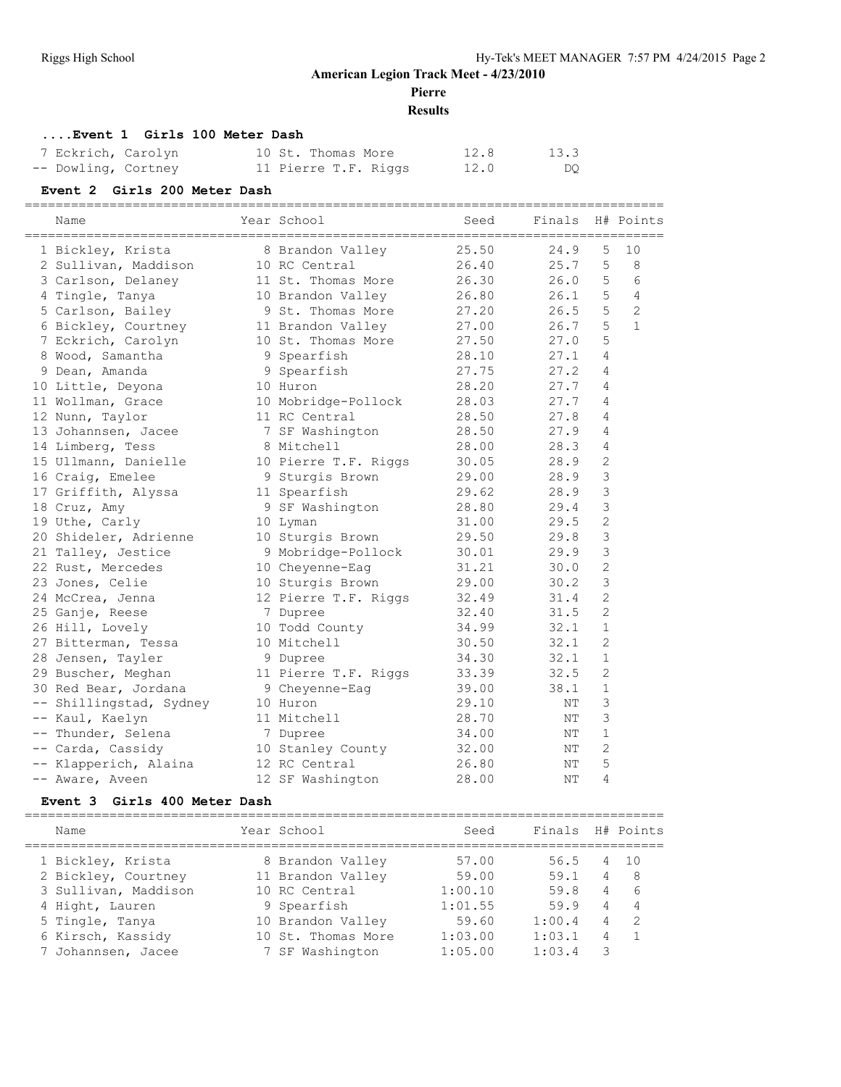**Pierre**

## **Results**

## **....Event 1 Girls 100 Meter Dash**

| 7 Eckrich, Carolyn  |  | 10 St. Thomas More   | 12.8 | 13.3 |
|---------------------|--|----------------------|------|------|
| -- Dowling, Cortney |  | 11 Pierre T.F. Riggs | 12.0 | DQ.  |

## **Event 2 Girls 200 Meter Dash**

|      | Name                  | Year School          | Seed<br>---------- | Finals | H#             | Points         |
|------|-----------------------|----------------------|--------------------|--------|----------------|----------------|
|      | 1 Bickley, Krista     | 8 Brandon Valley     | 25.50              | 24.9   | 5              | 10             |
|      | 2 Sullivan, Maddison  | 10 RC Central        | 26.40              | 25.7   | 5              | 8              |
|      | 3 Carlson, Delaney    | 11 St. Thomas More   | 26.30              | 26.0   | 5              | 6              |
|      | 4 Tingle, Tanya       | 10 Brandon Valley    | 26.80              | 26.1   | 5              | 4              |
|      | 5 Carlson, Bailey     | 9 St. Thomas More    | 27.20              | 26.5   | 5              | $\overline{2}$ |
|      | 6 Bickley, Courtney   | 11 Brandon Valley    | 27.00              | 26.7   | 5              | $\mathbf{1}$   |
|      | 7 Eckrich, Carolyn    | 10 St. Thomas More   | 27.50              | 27.0   | 5              |                |
|      | 8 Wood, Samantha      | 9 Spearfish          | 28.10              | 27.1   | 4              |                |
|      | 9 Dean, Amanda        | 9 Spearfish          | 27.75              | 27.2   | 4              |                |
|      | 10 Little, Deyona     | 10 Huron             | 28.20              | 27.7   | 4              |                |
|      | 11 Wollman, Grace     | 10 Mobridge-Pollock  | 28.03              | 27.7   | 4              |                |
|      | 12 Nunn, Taylor       | 11 RC Central        | 28.50              | 27.8   | 4              |                |
|      | 13 Johannsen, Jacee   | 7 SF Washington      | 28.50              | 27.9   | 4              |                |
|      | 14 Limberg, Tess      | 8 Mitchell           | 28.00              | 28.3   | 4              |                |
|      | 15 Ullmann, Danielle  | 10 Pierre T.F. Riggs | 30.05              | 28.9   | 2              |                |
|      | 16 Craig, Emelee      | 9 Sturgis Brown      | 29.00              | 28.9   | 3              |                |
|      | 17 Griffith, Alyssa   | 11 Spearfish         | 29.62              | 28.9   | 3              |                |
|      | 18 Cruz, Amy          | 9 SF Washington      | 28.80              | 29.4   | 3              |                |
|      | 19 Uthe, Carly        | 10 Lyman             | 31.00              | 29.5   | $\overline{c}$ |                |
|      | 20 Shideler, Adrienne | 10 Sturgis Brown     | 29.50              | 29.8   | 3              |                |
|      | 21 Talley, Jestice    | 9 Mobridge-Pollock   | 30.01              | 29.9   | 3              |                |
|      | 22 Rust, Mercedes     | 10 Cheyenne-Eag      | 31.21              | 30.0   | $\overline{c}$ |                |
|      | 23 Jones, Celie       | 10 Sturgis Brown     | 29.00              | 30.2   | 3              |                |
|      | 24 McCrea, Jenna      | 12 Pierre T.F. Riggs | 32.49              | 31.4   | $\overline{2}$ |                |
|      | 25 Ganje, Reese       | 7 Dupree             | 32.40              | 31.5   | $\overline{c}$ |                |
|      | 26 Hill, Lovely       | 10 Todd County       | 34.99              | 32.1   | $\mathbf{1}$   |                |
|      | 27 Bitterman, Tessa   | 10 Mitchell          | 30.50              | 32.1   | 2              |                |
|      | 28 Jensen, Tayler     | 9 Dupree             | 34.30              | 32.1   | $\mathbf{1}$   |                |
|      | 29 Buscher, Meghan    | 11 Pierre T.F. Riggs | 33.39              | 32.5   | $\overline{2}$ |                |
|      | 30 Red Bear, Jordana  | 9 Cheyenne-Eag       | 39.00              | 38.1   | $\mathbf{1}$   |                |
| $--$ | Shillingstad, Sydney  | 10 Huron             | 29.10              | NΤ     | 3              |                |
|      | -- Kaul, Kaelyn       | 11 Mitchell          | 28.70              | NΤ     | 3              |                |
|      | -- Thunder, Selena    | 7 Dupree             | 34.00              | NΤ     | $\mathbf{1}$   |                |
|      | -- Carda, Cassidy     | 10 Stanley County    | 32.00              | ΝT     | $\overline{c}$ |                |
|      | -- Klapperich, Alaina | 12 RC Central        | 26.80              | NΤ     | 5              |                |
|      | -- Aware, Aveen       | 12 SF Washington     | 28.00              | NΤ     | 4              |                |
|      |                       |                      |                    |        |                |                |

#### **Event 3 Girls 400 Meter Dash**

| Name                 | Year School        | Seed    | Finals |                | H# Points      |
|----------------------|--------------------|---------|--------|----------------|----------------|
| 1 Bickley, Krista    | 8 Brandon Valley   | 57.00   | 56.5   |                | 4 10           |
| 2 Bickley, Courtney  | 11 Brandon Valley  | 59.00   | 59.1   | 4              | - 8            |
| 3 Sullivan, Maddison | 10 RC Central      | 1:00.10 | 59.8   | 4              | -6             |
| 4 Hight, Lauren      | 9 Spearfish        | 1:01.55 | 59.9   | $\overline{4}$ | $\overline{4}$ |
| 5 Tingle, Tanya      | 10 Brandon Valley  | 59.60   | 1:00.4 | 4              | -2             |
| 6 Kirsch, Kassidy    | 10 St. Thomas More | 1:03.00 | 1:03.1 | 4              | $\overline{1}$ |
| 7 Johannsen, Jacee   | 7 SF Washington    | 1:05.00 | 1:03.4 | 3              |                |
|                      |                    |         |        |                |                |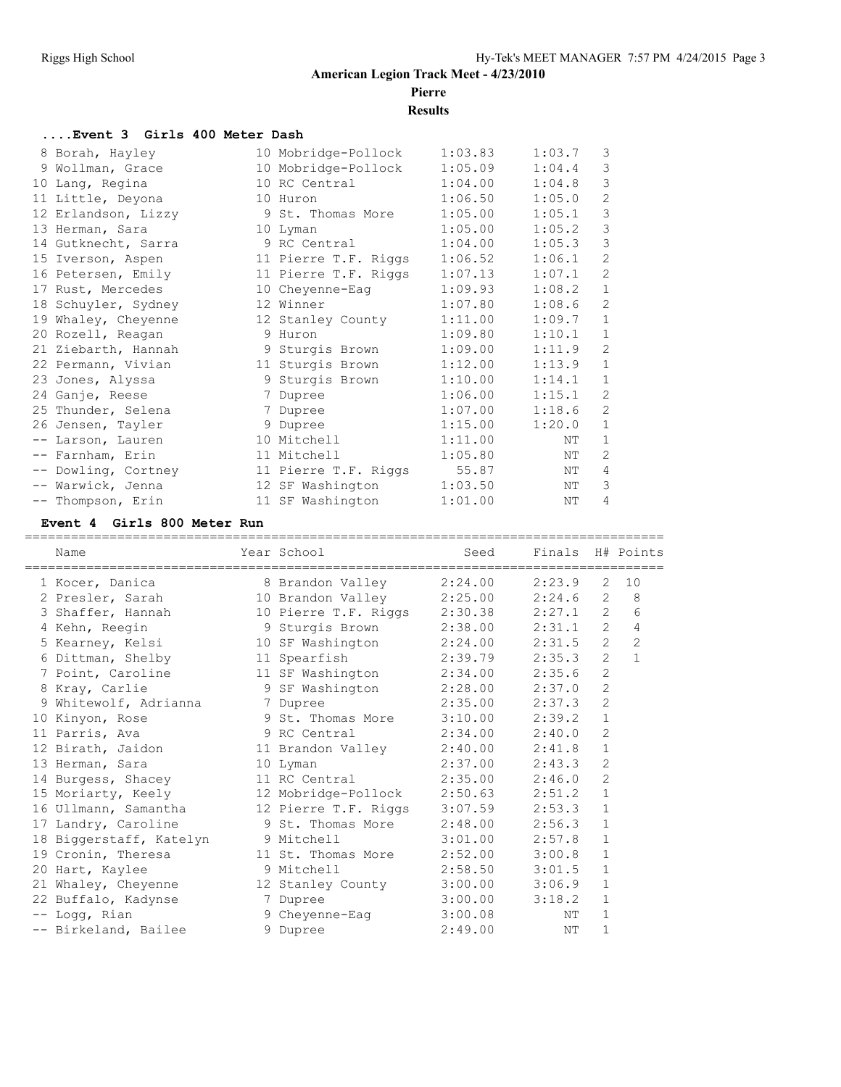# **Pierre**

**Results**

## **....Event 3 Girls 400 Meter Dash**

| 8 Borah, Hayley     | 10 Mobridge-Pollock  | 1:03.83 | 1:03.7 | 3              |
|---------------------|----------------------|---------|--------|----------------|
| 9 Wollman, Grace    | 10 Mobridge-Pollock  | 1:05.09 | 1:04.4 | 3              |
| 10 Lang, Regina     | 10 RC Central        | 1:04.00 | 1:04.8 | 3              |
| 11 Little, Deyona   | 10 Huron             | 1:06.50 | 1:05.0 | $\overline{2}$ |
| 12 Erlandson, Lizzy | 9 St. Thomas More    | 1:05.00 | 1:05.1 | 3              |
| 13 Herman, Sara     | 10 Lyman             | 1:05.00 | 1:05.2 | 3              |
| 14 Gutknecht, Sarra | 9 RC Central         | 1:04.00 | 1:05.3 | 3              |
| 15 Iverson, Aspen   | 11 Pierre T.F. Riggs | 1:06.52 | 1:06.1 | $\overline{2}$ |
| 16 Petersen, Emily  | 11 Pierre T.F. Riggs | 1:07.13 | 1:07.1 | $\overline{2}$ |
| 17 Rust, Mercedes   | 10 Cheyenne-Eag      | 1:09.93 | 1:08.2 | $\mathbf{1}$   |
| 18 Schuyler, Sydney | 12 Winner            | 1:07.80 | 1:08.6 | $\overline{2}$ |
| 19 Whaley, Cheyenne | 12 Stanley County    | 1:11.00 | 1:09.7 | $\mathbf{1}$   |
| 20 Rozell, Reagan   | 9 Huron              | 1:09.80 | 1:10.1 | $\mathbf{1}$   |
| 21 Ziebarth, Hannah | 9 Sturgis Brown      | 1:09.00 | 1:11.9 | $\overline{2}$ |
| 22 Permann, Vivian  | 11 Sturgis Brown     | 1:12.00 | 1:13.9 | $\mathbf{1}$   |
| 23 Jones, Alyssa    | 9 Sturgis Brown      | 1:10.00 | 1:14.1 | $\mathbf{1}$   |
| 24 Ganje, Reese     | 7 Dupree             | 1:06.00 | 1:15.1 | $\overline{2}$ |
| 25 Thunder, Selena  | 7 Dupree             | 1:07.00 | 1:18.6 | $\overline{2}$ |
| 26 Jensen, Tayler   | 9 Dupree             | 1:15.00 | 1:20.0 | $\mathbf{1}$   |
| -- Larson, Lauren   | 10 Mitchell          | 1:11.00 | NΤ     | $\mathbf{1}$   |
| -- Farnham, Erin    | 11 Mitchell          | 1:05.80 | NΤ     | $\overline{2}$ |
| -- Dowling, Cortney | 11 Pierre T.F. Riggs | 55.87   | NΤ     | 4              |
| -- Warwick, Jenna   | 12 SF Washington     | 1:03.50 | NΤ     | 3              |
| -- Thompson, Erin   | 11 SF Washington     | 1:01.00 | NΤ     | 4              |

#### **Event 4 Girls 800 Meter Run**

| Name                                                            | Year School               | Seed<br>========================== | Finals H# Points<br>=========== |                       |                |
|-----------------------------------------------------------------|---------------------------|------------------------------------|---------------------------------|-----------------------|----------------|
| -=======================<br>1 Kocer, Danica                     | 8 Brandon Valley          | 2:24.00                            | 2:23.9                          | $\overline{2}$        | 10             |
| 2 Presler, Sarah                                                | 10 Brandon Valley 2:25.00 |                                    | 2:24.6                          | 2                     | 8              |
| 3 Shaffer, Hannah 10 Pierre T.F. Riggs 2:30.38                  |                           |                                    | 2:27.1                          | $\mathbf{2}^{\prime}$ | 6              |
| 4 Kehn, Reegin                                                  | 9 Sturgis Brown 2:38.00   |                                    | 2:31.1                          | $\mathbf{2}$          | 4              |
| 5 Kearney, Kelsi               10 SF Washington         2:24.00 |                           |                                    | 2:31.5                          | $\overline{c}$        | $\overline{c}$ |
| 6 Dittman, Shelby 11 Spearfish                                  |                           | 2:39.79                            | 2:35.3                          | $\overline{2}$        | $\mathbf{1}$   |
| 7 Point, Caroline                                               | 11 SF Washington 2:34.00  |                                    | 2:35.6                          | $\overline{c}$        |                |
| 8 Kray, Carlie                                                  | 9 SF Washington 2:28.00   |                                    | 2:37.0                          | $\mathbf{2}$          |                |
| 9 Whitewolf, Adrianna                                           | 7 Dupree                  | 2:35.00                            | 2:37.3                          | $\mathbf{2}$          |                |
| 10 Kinyon, Rose                                                 | 9 St. Thomas More         | 3:10.00                            | 2:39.2                          | $\mathbf 1$           |                |
| 11 Parris, Ava                                                  | 9 RC Central              | 2:34.00                            | 2:40.0                          | $\overline{2}$        |                |
| 12 Birath, Jaidon                                               | 11 Brandon Valley         | 2:40.00                            | 2:41.8                          | $\mathbf{1}$          |                |
| 13 Herman, Sara                                                 | 10 Lyman                  | 2:37.00                            | 2:43.3                          | $\mathbf{2}$          |                |
| 14 Burgess, Shacey                                              | 11 RC Central 2:35.00     |                                    | 2:46.0                          | $\mathbf{2}$          |                |
| 15 Moriarty, Keely 12 Mobridge-Pollock                          |                           | 2:50.63                            | 2:51.2                          | $\mathbf 1$           |                |
|                                                                 |                           |                                    | 2:53.3                          | $\mathbf{1}$          |                |
| 17 Landry, Caroline                                             | 9 St. Thomas More         | 2:48.00                            | 2:56.3                          | $\mathbf{1}$          |                |
| 18 Biggerstaff, Katelyn 9 Mitchell                              |                           | 3:01.00                            | 2:57.8                          | $\mathbf{1}$          |                |
| 19 Cronin, Theresa 11 St. Thomas More                           |                           | 2:52.00                            | 3:00.8                          | $\mathbf 1$           |                |
| 20 Hart, Kaylee                                                 | 9 Mitchell                | 2:58.50                            | 3:01.5                          | $\mathbf{1}$          |                |
| 21 Whaley, Cheyenne 12 Stanley County                           |                           | 3:00.00                            | 3:06.9                          | $\mathbf{1}$          |                |
| 22 Buffalo, Kadynse                                             | 7 Dupree                  | 3:00.00                            | 3:18.2                          | $\mathbf{1}$          |                |
| -- Logg, Rian                                                   | 9 Cheyenne-Eag 3:00.08    |                                    | NΤ                              | $\mathbf{1}$          |                |
| -- Birkeland, Bailee                                            | 9 Dupree                  | 2:49.00                            | NΤ                              | 1                     |                |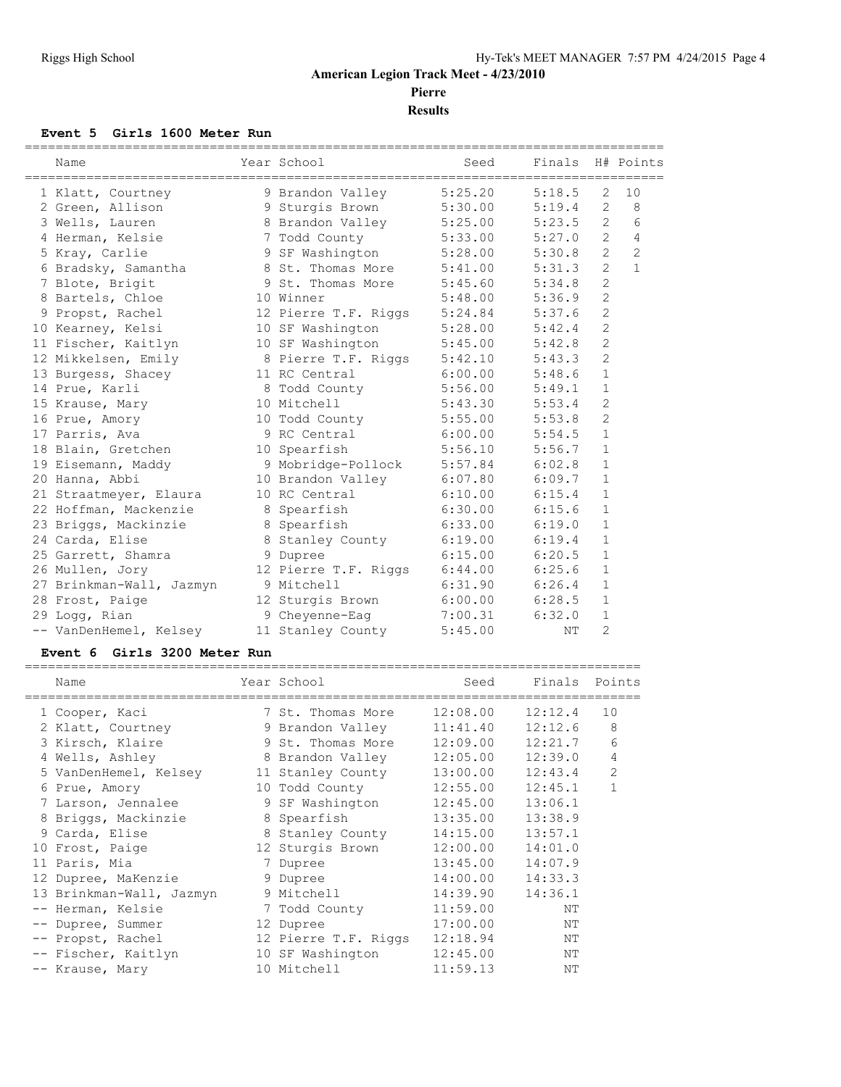**Pierre Results**

## **Event 5 Girls 1600 Meter Run**

| Name                                         | Year School                  | Seed    | Finals H# Points |                |                |
|----------------------------------------------|------------------------------|---------|------------------|----------------|----------------|
| 1 Klatt, Courtney                            | 9 Brandon Valley             | 5:25.20 | 5:18.5           | $\mathfrak{L}$ | 10             |
| 2 Green, Allison                             | 9 Sturgis Brown              | 5:30.00 | 5:19.4           | 2              | 8              |
| 3 Wells, Lauren                              | 8 Brandon Valley 5:25.00     |         | 5:23.5           | $\overline{2}$ | 6              |
| 4 Herman, Kelsie                             | 7 Todd County 5:33.00        |         | 5:27.0           | $\overline{2}$ | 4              |
| 5 Kray, Carlie                               | 9 SF Washington              | 5:28.00 | 5:30.8           | $\overline{2}$ | $\overline{2}$ |
| 6 Bradsky, Samantha                          | 8 St. Thomas More 5:41.00    |         | 5:31.3           | $\overline{2}$ | $\mathbf{1}$   |
| 7 Blote, Brigit                              | 9 St. Thomas More 5:45.60    |         | 5:34.8           | $\overline{2}$ |                |
| 8 Bartels, Chloe                             | 10 Winner                    | 5:48.00 | 5:36.9           | $\overline{c}$ |                |
| 9 Propst, Rachel                             | 12 Pierre T.F. Riggs 5:24.84 |         | 5:37.6           | $\mathbf{2}$   |                |
| 10 Kearney, Kelsi                            | 10 SF Washington 5:28.00     |         | 5:42.4           | $\overline{c}$ |                |
| 11 Fischer, Kaitlyn                          | 10 SF Washington 5:45.00     |         | 5:42.8           | $\overline{2}$ |                |
| 12 Mikkelsen, Emily                          | 8 Pierre T.F. Riggs 5:42.10  |         | 5:43.3           | $\overline{2}$ |                |
| 13 Burgess, Shacey 11 RC Central 6:00.00     |                              |         | 5:48.6           | $\mathbf{1}$   |                |
| 14 Prue, Karli                               | 8 Todd County 5:56.00        |         | 5:49.1           | $\mathbf{1}$   |                |
| 15 Krause, Mary                              | 10 Mitchell                  | 5:43.30 | 5:53.4           | $\overline{2}$ |                |
| 16 Prue, Amory                               | 10 Todd County               | 5:55.00 | 5:53.8           | $\overline{2}$ |                |
| 17 Parris, Ava                               | 9 RC Central                 | 6:00.00 | 5:54.5           | $\mathbf{1}$   |                |
| 18 Blain, Gretchen 10 Spearfish 5:56.10      |                              |         | 5:56.7           | $\mathbf{1}$   |                |
| 19 Eisemann, Maddy                           | 9 Mobridge-Pollock 5:57.84   |         | 6:02.8           | $\mathbf{1}$   |                |
| 20 Hanna, Abbi                               | 10 Brandon Valley            | 6:07.80 | 6:09.7           | $\mathbf{1}$   |                |
| 21 Straatmeyer, Elaura 10 RC Central 6:10.00 |                              |         | 6:15.4           | $\mathbf{1}$   |                |
| 22 Hoffman, Mackenzie                        | 8 Spearfish 6:30.00          |         | 6:15.6           | $\mathbf{1}$   |                |
| 23 Briggs, Mackinzie                         | 8 Spearfish                  | 6:33.00 | 6:19.0           | $\mathbf{1}$   |                |
| 24 Carda, Elise                              | 8 Stanley County 6:19.00     |         | 6:19.4           | $\mathbf{1}$   |                |
| 25 Garrett, Shamra                           | 9 Dupree                     | 6:15.00 | 6:20.5           | $\mathbf{1}$   |                |
| 26 Mullen, Jory                              | 12 Pierre T.F. Riggs 6:44.00 |         | 6:25.6           | $\mathbf{1}$   |                |
| 27 Brinkman-Wall, Jazmyn                     | 9 Mitchell                   | 6:31.90 | 6:26.4           | $\mathbf{1}$   |                |
| 28 Frost, Paige                              | 12 Sturgis Brown 6:00.00     |         | 6:28.5           | $\mathbf{1}$   |                |
| 29 Logg, Rian                                | 9 Cheyenne-Eag 3:00.31       |         | 6:32.0           | $\mathbf{1}$   |                |
| -- VanDenHemel, Kelsey                       | 11 Stanley County            | 5:45.00 | NΤ               | $\overline{2}$ |                |

#### **Event 6 Girls 3200 Meter Run**

|      | Name                     |   | Year School          | Seed     | Finals  | Points         |
|------|--------------------------|---|----------------------|----------|---------|----------------|
|      | 1 Cooper, Kaci           |   | 7 St. Thomas More    | 12:08.00 | 12:12.4 | 10             |
|      | 2 Klatt, Courtney        |   | 9 Brandon Valley     | 11:41.40 | 12:12.6 | 8              |
|      | 3 Kirsch, Klaire         |   | 9 St. Thomas More    | 12:09.00 | 12:21.7 | 6              |
|      | 4 Wells, Ashley          |   | 8 Brandon Valley     | 12:05.00 | 12:39.0 | 4              |
|      | 5 VanDenHemel, Kelsey    |   | 11 Stanley County    | 13:00.00 | 12:43.4 | $\overline{2}$ |
|      | 6 Prue, Amory            |   | 10 Todd County       | 12:55.00 | 12:45.1 | 1              |
|      | 7 Larson, Jennalee       |   | 9 SF Washington      | 12:45.00 | 13:06.1 |                |
|      | 8 Briggs, Mackinzie      |   | 8 Spearfish          | 13:35.00 | 13:38.9 |                |
|      | 9 Carda, Elise           |   | 8 Stanley County     | 14:15.00 | 13:57.1 |                |
|      | 10 Frost, Paige          |   | 12 Sturgis Brown     | 12:00.00 | 14:01.0 |                |
|      | 11 Paris, Mia            | 7 | Dupree               | 13:45.00 | 14:07.9 |                |
|      | 12 Dupree, MaKenzie      |   | 9 Dupree             | 14:00.00 | 14:33.3 |                |
|      | 13 Brinkman-Wall, Jazmyn |   | 9 Mitchell           | 14:39.90 | 14:36.1 |                |
|      | -- Herman, Kelsie        |   | 7 Todd County        | 11:59.00 | NΤ      |                |
| $ -$ | Dupree, Summer           |   | 12 Dupree            | 17:00.00 | NΤ      |                |
|      | -- Propst, Rachel        |   | 12 Pierre T.F. Riggs | 12:18.94 | NΤ      |                |
|      | -- Fischer, Kaitlyn      |   | 10 SF Washington     | 12:45.00 | NΤ      |                |
|      | -- Krause, Mary          |   | 10 Mitchell          | 11:59.13 | NΤ      |                |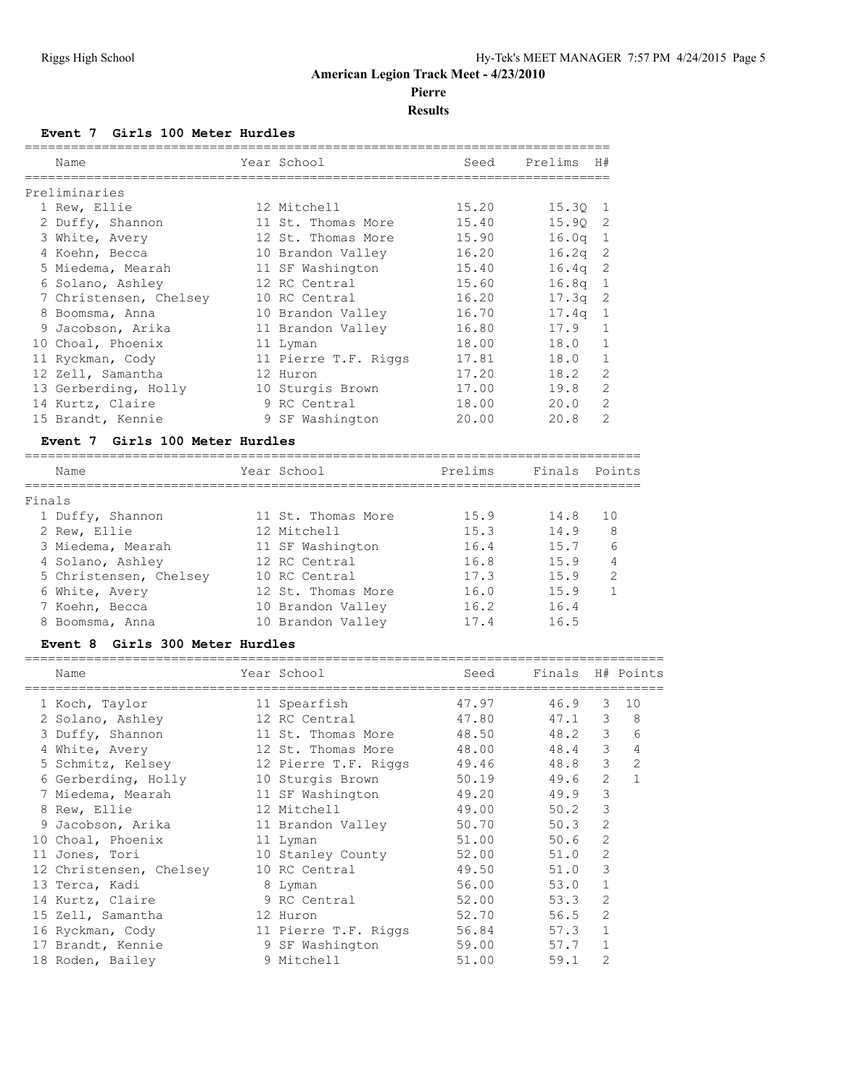# **Pierre**

## **Results**

#### **Event 7 Girls 100 Meter Hurdles**

|        | Name                            |              | Year School          | Seed    | Prelims          | H#                |                |
|--------|---------------------------------|--------------|----------------------|---------|------------------|-------------------|----------------|
|        | Preliminaries                   |              |                      |         |                  |                   |                |
|        | 1 Rew, Ellie                    |              | 12 Mitchell          | 15.20   | 15.30            | 1                 |                |
|        | 2 Duffy, Shannon                |              | 11 St. Thomas More   | 15.40   | 15.90            | 2                 |                |
|        | 3 White, Avery                  |              | 12 St. Thomas More   | 15.90   | 16.0q            | $\mathbf 1$       |                |
|        | 4 Koehn, Becca                  |              | 10 Brandon Valley    | 16.20   | 16.2q            | 2                 |                |
|        | 5 Miedema, Mearah               |              | 11 SF Washington     | 15.40   | 16.4q            | 2                 |                |
|        | 6 Solano, Ashley                |              | 12 RC Central        | 15.60   | 16.8q            | 1                 |                |
|        | 7 Christensen, Chelsey          |              | 10 RC Central        | 16.20   | 17.3q            | 2                 |                |
|        | 8 Boomsma, Anna                 |              | 10 Brandon Valley    | 16.70   | 17.4q            | 1                 |                |
|        | 9 Jacobson, Arika               |              | 11 Brandon Valley    | 16.80   | 17.9             | $\mathbf 1$       |                |
|        | 10 Choal, Phoenix               |              | 11 Lyman             | 18.00   | 18.0             | $\mathbf 1$       |                |
|        | 11 Ryckman, Cody                |              | 11 Pierre T.F. Riggs | 17.81   | 18.0             | 1                 |                |
|        | 12 Zell, Samantha               |              | 12 Huron             | 17.20   | 18.2             | 2                 |                |
|        | 13 Gerberding, Holly            |              | 10 Sturgis Brown     | 17.00   | 19.8             | 2                 |                |
|        | 14 Kurtz, Claire                |              | 9 RC Central         | 18.00   | 20.0             | $\overline{2}$    |                |
|        | 15 Brandt, Kennie               |              | 9 SF Washington      | 20.00   | 20.8             | $\overline{c}$    |                |
|        |                                 |              |                      |         |                  |                   |                |
|        | Event 7 Girls 100 Meter Hurdles |              |                      |         |                  |                   |                |
|        | Name                            |              | Year School          | Prelims | Finals           |                   | Points         |
| Finals |                                 | ============ |                      |         |                  |                   |                |
|        | 1 Duffy, Shannon                |              | 11 St. Thomas More   | 15.9    | 14.8             | 10                |                |
|        | 2 Rew, Ellie                    |              | 12 Mitchell          | 15.3    | 14.9             | 8                 |                |
|        |                                 |              |                      | 16.4    | 15.7             |                   |                |
|        | 3 Miedema, Mearah               |              | 11 SF Washington     |         |                  | 6                 |                |
|        | 4 Solano, Ashley                |              | 12 RC Central        | 16.8    | 15.9             | 4                 |                |
|        | 5 Christensen, Chelsey          |              | 10 RC Central        | 17.3    | 15.9             | 2<br>$\mathbf{1}$ |                |
|        | 6 White, Avery                  |              | 12 St. Thomas More   | 16.0    | 15.9             |                   |                |
|        | 7 Koehn, Becca                  |              | 10 Brandon Valley    | 16.2    | 16.4             |                   |                |
|        | 8 Boomsma, Anna                 |              | 10 Brandon Valley    | 17.4    | 16.5             |                   |                |
|        | Event 8 Girls 300 Meter Hurdles |              |                      |         |                  |                   |                |
|        | Name                            |              | Year School          | Seed    | Finals H# Points |                   |                |
|        | 1 Koch, Taylor                  |              | 11 Spearfish         | 47.97   | 46.9             | 3                 | 10             |
|        | 2 Solano, Ashley                |              | 12 RC Central        | 47.80   | 47.1             | 3                 | 8              |
|        | 3 Duffy, Shannon                |              | 11 St. Thomas More   | 48.50   | 48.2             | 3                 | 6              |
|        | 4 White, Avery                  |              | 12 St. Thomas More   | 48.00   | 48.4             | 3                 | $\overline{4}$ |
|        | 5 Schmitz, Kelsey               |              | 12 Pierre T.F. Riggs | 49.46   | 48.8             | 3                 | 2              |
|        | 6 Gerberding, Holly             |              | 10 Sturgis Brown     | 50.19   | 49.6             | $\sqrt{2}$        | $\mathbf 1$    |
|        | 7 Miedema, Mearah               |              | 11 SF Washington     | 49.20   | 49.9             | 3                 |                |
|        | 8 Rew, Ellie                    |              | 12 Mitchell          | 49.00   | 50.2             | 3                 |                |
|        |                                 |              |                      | 50.70   | 50.3             | $\mathbf{2}$      |                |
|        | 9 Jacobson, Arika               |              | 11 Brandon Valley    | 51.00   |                  | $\sqrt{2}$        |                |
|        | 10 Choal, Phoenix               |              | 11 Lyman             |         | 50.6             | $\sqrt{2}$        |                |
|        | 11 Jones, Tori                  |              | 10 Stanley County    | 52.00   | 51.0             |                   |                |
|        | 12 Christensen, Chelsey         |              | 10 RC Central        | 49.50   | 51.0             | 3                 |                |
|        | 13 Terca, Kadi                  |              | 8 Lyman              | 56.00   | 53.0             | $\mathbf{1}$      |                |
|        | 14 Kurtz, Claire                |              | 9 RC Central         | 52.00   | 53.3             | 2                 |                |
|        | 15 Zell, Samantha               |              | 12 Huron             | 52.70   | 56.5             | $\sqrt{2}$        |                |
|        | 16 Ryckman, Cody                |              | 11 Pierre T.F. Riggs | 56.84   | 57.3             | $\mathbf 1$       |                |
|        | 17 Brandt, Kennie               |              | 9 SF Washington      | 59.00   | 57.7             | $\mathbf 1$       |                |
|        | 18 Roden, Bailey                |              | 9 Mitchell           | 51.00   | 59.1             | $\mathbf{2}$      |                |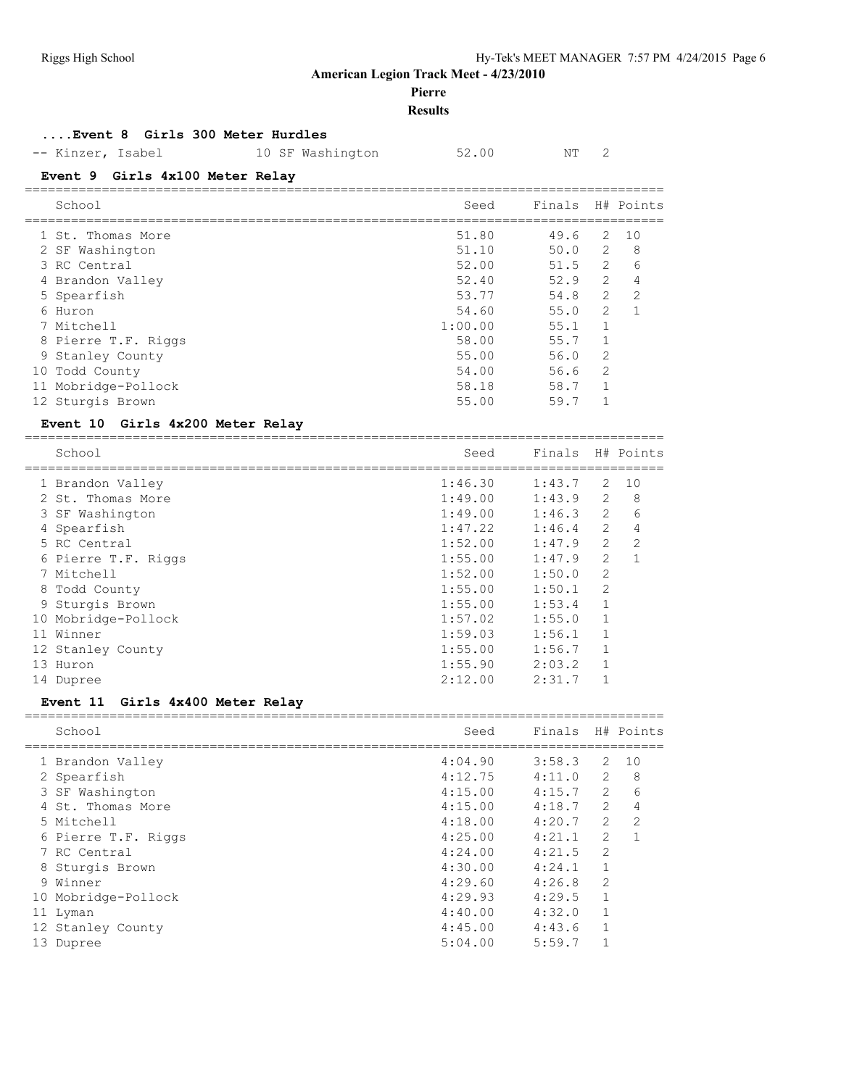#### **Pierre**

#### **Results**

## **....Event 8 Girls 300 Meter Hurdles**

-- Kinzer, Isabel 10 SF Washington 52.00 NT 2

===================================================================================

===================================================================================

#### **Event 9 Girls 4x100 Meter Relay**

| School              | Seed    | Finals H# Points |                |     |
|---------------------|---------|------------------|----------------|-----|
| 1 St. Thomas More   | 51.80   | 49.6             | 2              | 1 O |
| 2 SF Washington     | 51.10   | 50.0             | 2              | 8   |
| 3 RC Central        | 52.00   | 51.5             | 2              | 6   |
| 4 Brandon Valley    | 52.40   | 52.9             | $\mathfrak{L}$ | 4   |
| 5 Spearfish         | 53.77   | 54.8             | $\overline{2}$ | 2   |
| 6 Huron             | 54.60   | 55.0             | 2              |     |
| 7 Mitchell          | 1:00.00 | 55.1             |                |     |
| 8 Pierre T.F. Riggs | 58.00   | 55.7             |                |     |
| 9 Stanley County    | 55.00   | 56.0             | 2              |     |
| 10 Todd County      | 54.00   | 56.6             | 2              |     |
| 11 Mobridge-Pollock | 58.18   | 58.7             |                |     |
| 12 Sturgis Brown    | 55.00   | 59.7             |                |     |

#### **Event 10 Girls 4x200 Meter Relay**

|    | School              | Seed    | Finals |                | H# Points     |
|----|---------------------|---------|--------|----------------|---------------|
|    | 1 Brandon Valley    | 1:46.30 | 1:43.7 | 2              | 10            |
|    | 2 St. Thomas More   | 1:49.00 | 1:43.9 | $\overline{2}$ | 8             |
|    | 3 SF Washington     | 1:49.00 | 1:46.3 | $\mathfrak{L}$ | 6             |
|    | 4 Spearfish         | 1:47.22 | 1:46.4 | $\overline{2}$ | 4             |
|    | 5 RC Central        | 1:52.00 | 1:47.9 | $\mathcal{L}$  | $\mathcal{L}$ |
|    | 6 Pierre T.F. Riggs | 1:55.00 | 1:47.9 | $\overline{2}$ |               |
|    | 7 Mitchell          | 1:52.00 | 1:50.0 | $\overline{2}$ |               |
|    | 8 Todd County       | 1:55.00 | 1:50.1 | $\overline{2}$ |               |
|    | 9 Sturgis Brown     | 1:55.00 | 1:53.4 |                |               |
|    | 10 Mobridge-Pollock | 1:57.02 | 1:55.0 |                |               |
| 11 | Winner              | 1:59.03 | 1:56.1 |                |               |
|    | 12 Stanley County   | 1:55.00 | 1:56.7 |                |               |
| 13 | Huron               | 1:55.90 | 2:03.2 | 1              |               |
| 14 | Dupree              | 2:12.00 | 2:31.7 |                |               |

## **Event 11 Girls 4x400 Meter Relay**

|    | School              | Seed    | Finals |                | H# Points     |
|----|---------------------|---------|--------|----------------|---------------|
|    | 1 Brandon Valley    | 4:04.90 | 3:58.3 | 2              | 10            |
|    | 2 Spearfish         | 4:12.75 | 4:11.0 | $\overline{2}$ | 8             |
|    | 3 SF Washington     | 4:15.00 | 4:15.7 | $\overline{2}$ | 6             |
|    | 4 St. Thomas More   | 4:15.00 | 4:18.7 | $\mathfrak{L}$ | 4             |
|    | 5 Mitchell          | 4:18.00 | 4:20.7 | $\overline{2}$ | $\mathcal{L}$ |
|    | 6 Pierre T.F. Riggs | 4:25.00 | 4:21.1 | $\mathfrak{L}$ |               |
|    | 7 RC Central        | 4:24.00 | 4:21.5 | $\overline{2}$ |               |
|    | 8 Sturgis Brown     | 4:30.00 | 4:24.1 | 1              |               |
|    | 9 Winner            | 4:29.60 | 4:26.8 | 2              |               |
|    | 10 Mobridge-Pollock | 4:29.93 | 4:29.5 | 1              |               |
|    | 11 Lyman            | 4:40.00 | 4:32.0 | 1              |               |
|    | 12 Stanley County   | 4:45.00 | 4:43.6 | 1              |               |
| 13 | Dupree              | 5:04.00 | 5:59.7 |                |               |
|    |                     |         |        |                |               |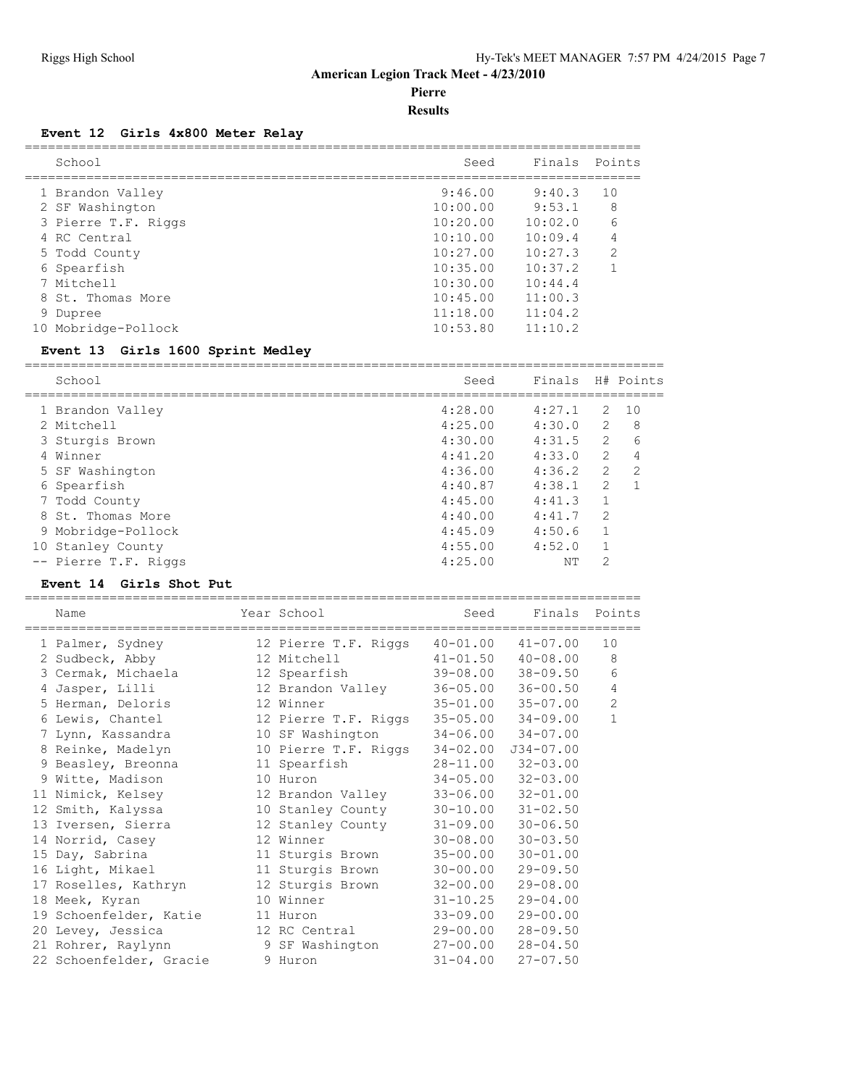**Pierre**

**Results**

#### **Event 12 Girls 4x800 Meter Relay**

| School              | Seed     | Finals Points |                |
|---------------------|----------|---------------|----------------|
| 1 Brandon Valley    | 9:46.00  | 9:40.3        | 10             |
| 2 SF Washington     | 10:00.00 | 9:53.1        | 8              |
| 3 Pierre T.F. Riggs | 10:20.00 | 10:02:0       | 6              |
| 4 RC Central        | 10:10.00 | 10:09.4       |                |
| 5 Todd County       | 10:27.00 | 10:27.3       | $\mathfrak{D}$ |
| 6 Spearfish         | 10:35.00 | 10:37.2       |                |
| 7 Mitchell          | 10:30.00 | 10:44.4       |                |
| 8 St. Thomas More   | 10:45.00 | 11:00.3       |                |
| Dupree              | 11:18.00 | 11:04.2       |                |
| 10 Mobridge-Pollock | 10:53.80 | 11:10.2       |                |

#### **Event 13 Girls 1600 Sprint Medley**

=================================================================================== School Seed Finals H# Points =================================================================================== 1 Brandon Valley 4:28.00 4:27.1 2 10 2 Mitchell 4:25.00 4:30.0 2 8 3 Sturgis Brown 4:30.00 4:31.5 2 6 4 Winner 4:41.20 4:33.0 2 4 5 SF Washington 4:36.00 4:36.2 2 2 6 Spearfish 4:40.87 4:38.1 2 1 7 Todd County 4:45.00 4:41.3 1 8 St. Thomas More 4:40.00 4:41.7 2 9 Mobridge-Pollock 4:45.09 4:50.6 1 10 Stanley County 4:55.00 4:52.0 1 -- Pierre T.F. Riggs 4:25.00 NT 2

#### **Event 14 Girls Shot Put**

| Name                    | Year School          | Seed         |                           | Finals Points  |
|-------------------------|----------------------|--------------|---------------------------|----------------|
| 1 Palmer, Sydney        | 12 Pierre T.F. Riggs | $40 - 01.00$ | $41 - 07.00$              | 10             |
| 2 Sudbeck, Abby         | 12 Mitchell          | $41 - 01.50$ | $40 - 08.00$              | 8              |
| 3 Cermak, Michaela      | 12 Spearfish         | 39-08.00     | $38 - 09.50$              | 6              |
| 4 Jasper, Lilli         | 12 Brandon Valley    |              | $36 - 05.00$ $36 - 00.50$ | $\overline{4}$ |
| 5 Herman, Deloris       | 12 Winner            |              | $35 - 01.00$ $35 - 07.00$ | $\overline{c}$ |
| 6 Lewis, Chantel        | 12 Pierre T.F. Riggs |              | $35 - 05.00$ $34 - 09.00$ | $\mathbf{1}$   |
| 7 Lynn, Kassandra       | 10 SF Washington     |              | $34 - 06.00$ $34 - 07.00$ |                |
| 8 Reinke, Madelyn       | 10 Pierre T.F. Riggs | $34 - 02.00$ | $J34 - 07.00$             |                |
| 9 Beasley, Breonna      | 11 Spearfish         | 28-11.00     | $32 - 03.00$              |                |
| 9 Witte, Madison        | 10 Huron             |              | $34 - 05.00$ $32 - 03.00$ |                |
| 11 Nimick, Kelsey       | 12 Brandon Valley    | $33 - 06.00$ | $32 - 01.00$              |                |
| 12 Smith, Kalyssa       | 10 Stanley County    |              | $30 - 10.00$ $31 - 02.50$ |                |
| 13 Iversen, Sierra      | 12 Stanley County    | $31 - 09.00$ | $30 - 06.50$              |                |
| 14 Norrid, Casey        | 12 Winner            | $30 - 08.00$ | $30 - 03.50$              |                |
| 15 Day, Sabrina         | 11 Sturgis Brown     | $35 - 00.00$ | $30 - 01.00$              |                |
| 16 Light, Mikael        | 11 Sturgis Brown     | $30 - 00.00$ | $29 - 09.50$              |                |
| 17 Roselles, Kathryn    | 12 Sturgis Brown     | $32 - 00.00$ | $29 - 08.00$              |                |
| 18 Meek, Kyran          | 10 Winner            | $31 - 10.25$ | $29 - 04.00$              |                |
| 19 Schoenfelder, Katie  | 11 Huron             | $33 - 09.00$ | $29 - 00.00$              |                |
| 20 Levey, Jessica       | 12 RC Central        | 29-00.00     | $28 - 09.50$              |                |
| 21 Rohrer, Raylynn      | 9 SF Washington      | 27-00.00     | $28 - 04.50$              |                |
| 22 Schoenfelder, Gracie | 9 Huron              | $31 - 04.00$ | $27 - 07.50$              |                |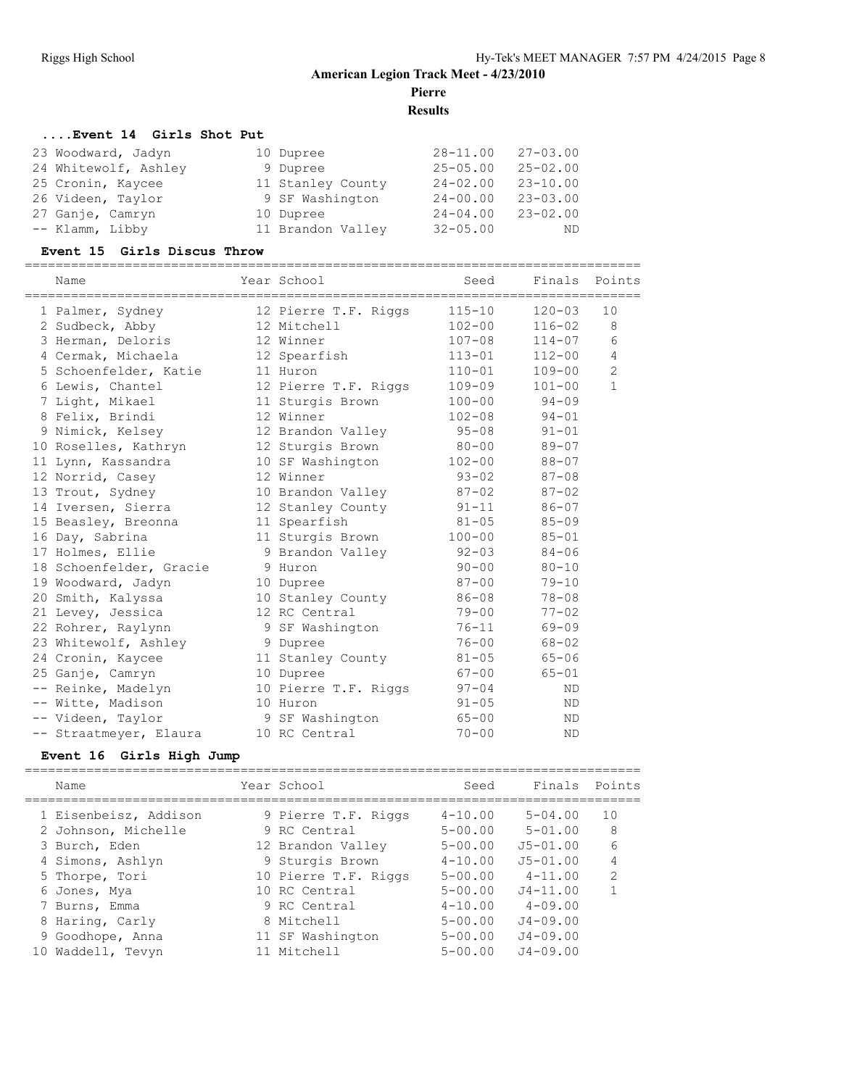## **American Legion Track Meet - 4/23/2010 Pierre**

**Results**

## **....Event 14 Girls Shot Put**

| 23 Woodward, Jadyn   | 10 Dupree         | $28 - 11.00$ | $27 - 03.00$ |
|----------------------|-------------------|--------------|--------------|
| 24 Whitewolf, Ashley | 9 Dupree          | $25 - 05.00$ | $25 - 02.00$ |
| 25 Cronin, Kaycee    | 11 Stanley County | $24 - 02.00$ | $23 - 10.00$ |
| 26 Videen, Taylor    | 9 SF Washington   | $24 - 00.00$ | $23 - 03.00$ |
| 27 Ganje, Camryn     | 10 Dupree         | $24 - 04.00$ | $23 - 02.00$ |
| -- Klamm, Libby      | 11 Brandon Valley | $32 - 05.00$ | ND           |

#### **Event 15 Girls Discus Throw**

| Name                    | Year School          | Seed       | Finals Points |                |
|-------------------------|----------------------|------------|---------------|----------------|
| 1 Palmer, Sydney        | 12 Pierre T.F. Riggs | $115 - 10$ | $120 - 03$    | 10             |
| 2 Sudbeck, Abby         | 12 Mitchell          | $102 - 00$ | $116 - 02$    | 8              |
| 3 Herman, Deloris       | 12 Winner            | $107 - 08$ | $114 - 07$    | 6              |
| 4 Cermak, Michaela      | 12 Spearfish         | $113 - 01$ | $112 - 00$    | 4              |
| 5 Schoenfelder, Katie   | 11 Huron             | $110 - 01$ | $109 - 00$    | $\overline{2}$ |
| 6 Lewis, Chantel        | 12 Pierre T.F. Riggs | $109 - 09$ | $101 - 00$    | $\mathbf{1}$   |
| 7 Light, Mikael         | 11 Sturgis Brown     | $100 - 00$ | $94 - 09$     |                |
| 8 Felix, Brindi         | 12 Winner            | $102 - 08$ | $94 - 01$     |                |
| 9 Nimick, Kelsey        | 12 Brandon Valley    | $95 - 08$  | $91 - 01$     |                |
| 10 Roselles, Kathryn    | 12 Sturgis Brown     | $80 - 00$  | $89 - 07$     |                |
| 11 Lynn, Kassandra      | 10 SF Washington     | $102 - 00$ | $88 - 07$     |                |
| 12 Norrid, Casey        | 12 Winner            | $93 - 02$  | $87 - 08$     |                |
| 13 Trout, Sydney        | 10 Brandon Valley    | $87 - 02$  | $87 - 02$     |                |
| 14 Iversen, Sierra      | 12 Stanley County    | $91 - 11$  | $86 - 07$     |                |
| 15 Beasley, Breonna     | 11 Spearfish         | $81 - 05$  | $85 - 09$     |                |
| 16 Day, Sabrina         | 11 Sturgis Brown     | $100 - 00$ | $85 - 01$     |                |
| 17 Holmes, Ellie        | 9 Brandon Valley     | $92 - 03$  | $84 - 06$     |                |
| 18 Schoenfelder, Gracie | 9 Huron              | $90 - 00$  | $80 - 10$     |                |
| 19 Woodward, Jadyn      | 10 Dupree            | $87 - 00$  | $79 - 10$     |                |
| 20 Smith, Kalyssa       | 10 Stanley County    | 86-08      | $78 - 08$     |                |
| 21 Levey, Jessica       | 12 RC Central        | $79 - 00$  | $77 - 02$     |                |
| 22 Rohrer, Raylynn      | 9 SF Washington      | $76 - 11$  | $69 - 09$     |                |
| 23 Whitewolf, Ashley    | 9 Dupree             | $76 - 00$  | $68 - 02$     |                |
| 24 Cronin, Kaycee       | 11 Stanley County    | $81 - 05$  | $65 - 06$     |                |
| 25 Ganje, Camryn        | 10 Dupree            | $67 - 00$  | $65 - 01$     |                |
| -- Reinke, Madelyn      | 10 Pierre T.F. Riggs | $97 - 04$  | <b>ND</b>     |                |
| -- Witte, Madison       | 10 Huron             | $91 - 05$  | <b>ND</b>     |                |
| -- Videen, Taylor       | 9 SF Washington      | $65 - 00$  | <b>ND</b>     |                |
| -- Straatmeyer, Elaura  | 10 RC Central        | $70 - 00$  | <b>ND</b>     |                |

## **Event 16 Girls High Jump**

| Name                                                                              | Year School                                                                 | Seed                                                     | Finals Points                                              |                   |
|-----------------------------------------------------------------------------------|-----------------------------------------------------------------------------|----------------------------------------------------------|------------------------------------------------------------|-------------------|
| 1 Eisenbeisz, Addison<br>2 Johnson, Michelle<br>3 Burch, Eden<br>4 Simons, Ashlyn | 9 Pierre T.F. Riggs<br>9 RC Central<br>12 Brandon Valley<br>9 Sturgis Brown | $4 - 10.00$<br>$5 - 00.00$<br>$5 - 00.00$<br>$4 - 10.00$ | $5 - 04.00$<br>$5 - 01.00$<br>$J5 - 01.00$<br>$J5 - 01.00$ | 10<br>8<br>6<br>4 |
| 5 Thorpe, Tori                                                                    | 10 Pierre T.F. Riggs                                                        | $5 - 00.00$                                              | $4 - 11.00$                                                | $\mathcal{L}$     |
| 6 Jones, Mya                                                                      | 10 RC Central                                                               | $5 - 00.00$                                              | $J4 - 11.00$                                               |                   |
| 7 Burns, Emma                                                                     | 9 RC Central                                                                | $4 - 10.00$                                              | $4 - 09.00$                                                |                   |
| 8 Haring, Carly                                                                   | 8 Mitchell                                                                  | $5 - 00.00$                                              | $J4 - 09.00$                                               |                   |
| 9 Goodhope, Anna                                                                  | 11 SF Washington                                                            | $5 - 00.00$                                              | $J4 - 09.00$                                               |                   |
| Waddell, Tevyn<br>10                                                              | 11 Mitchell                                                                 | $5 - 00.00$                                              | $J4 - 09.00$                                               |                   |
|                                                                                   |                                                                             |                                                          |                                                            |                   |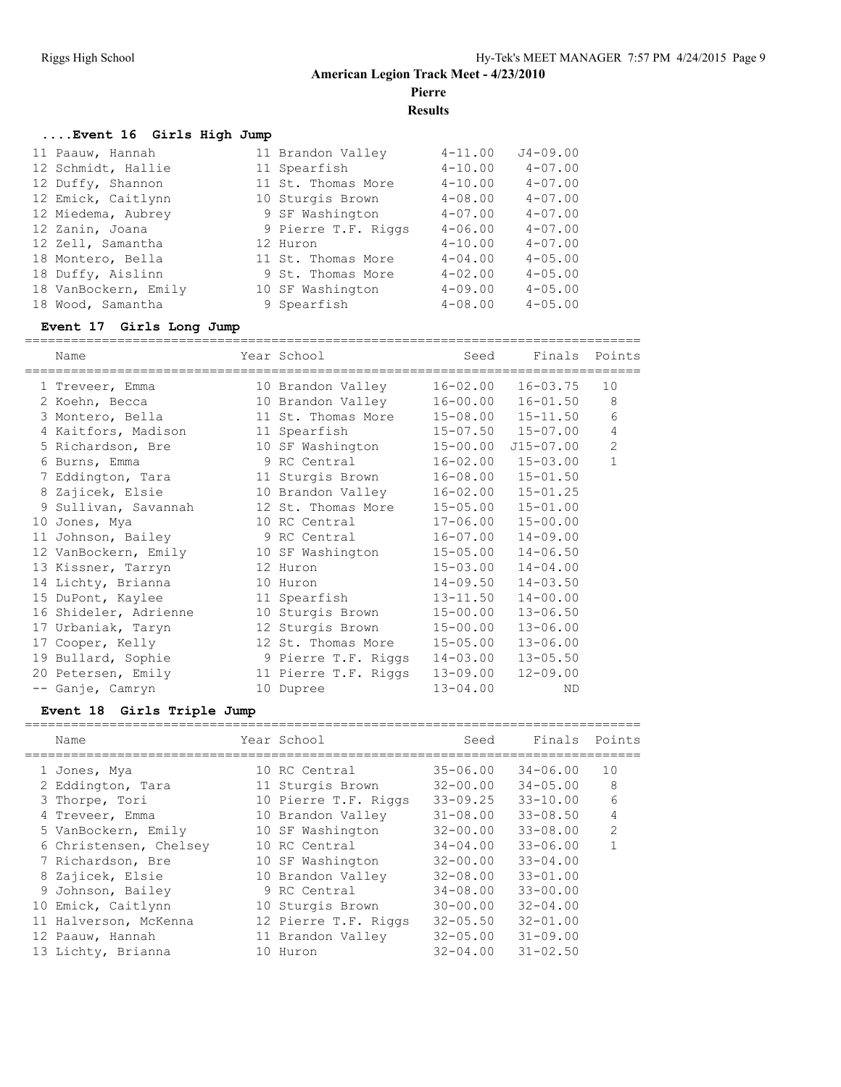**Pierre**

**Results**

#### **....Event 16 Girls High Jump**

| 11 Paauw, Hannah     | 11 Brandon Valley   | $4 - 11.00$ | $J4 - 09.00$   |
|----------------------|---------------------|-------------|----------------|
| 12 Schmidt, Hallie   | 11 Spearfish        | $4 - 10.00$ | $4 - 07.00$    |
| 12 Duffy, Shannon    | 11 St. Thomas More  | $4 - 10.00$ | $4 - 07.00$    |
| 12 Emick, Caitlynn   | 10 Sturgis Brown    | $4 - 08.00$ | $4 - 07.00$    |
| 12 Miedema, Aubrey   | 9 SF Washington     | $4 - 07.00$ | $4 - 07.00$    |
| 12 Zanin, Joana      | 9 Pierre T.F. Riggs | $4 - 06.00$ | $4 - 07.00$    |
| 12 Zell, Samantha    | 12 Huron            | $4 - 10.00$ | $4 - 07.00$    |
| 18 Montero, Bella    | 11 St. Thomas More  | $4 - 04.00$ | $4 - 0.5$ , 00 |
| 18 Duffy, Aislinn    | 9 St. Thomas More   | $4 - 02.00$ | $4 - 05.00$    |
| 18 VanBockern, Emily | 10 SF Washington    | $4 - 09.00$ | $4 - 05.00$    |
| 18 Wood, Samantha    | 9 Spearfish         | $4 - 08.00$ | $4 - 05.00$    |
|                      |                     |             |                |

#### **Event 17 Girls Long Jump**

================================================================================ Name Year School Seed Finals Points ================================================================================ 1 Treveer, Emma 10 Brandon Valley 16-02.00 16-03.75 10 2 Koehn, Becca 10 Brandon Valley 16-00.00 16-01.50 8 3 Montero, Bella 11 St. Thomas More 15-08.00 15-11.50 6 4 Kaitfors, Madison 11 Spearfish 15-07.50 15-07.00 4 5 Richardson, Bre 10 SF Washington 15-00.00 J15-07.00 2 6 Burns, Emma 9 RC Central 16-02.00 15-03.00 1 7 Eddington, Tara 11 Sturgis Brown 16-08.00 15-01.50 8 Zajicek, Elsie 10 Brandon Valley 16-02.00 15-01.25 9 Sullivan, Savannah 12 St. Thomas More 15-05.00 15-01.00 10 Jones, Mya 10 RC Central 17-06.00 15-00.00 11 Johnson, Bailey 9 RC Central 16-07.00 14-09.00 12 VanBockern, Emily 10 SF Washington 15-05.00 14-06.50 13 Kissner, Tarryn 12 Huron 15-03.00 14-04.00 14 Lichty, Brianna 10 Huron 14-09.50 14-03.50 15 DuPont, Kaylee 11 Spearfish 13-11.50 14-00.00 16 Shideler, Adrienne 10 Sturgis Brown 15-00.00 13-06.50 17 Urbaniak, Taryn 12 Sturgis Brown 15-00.00 13-06.00 17 Cooper, Kelly 12 St. Thomas More 15-05.00 13-06.00 19 Bullard, Sophie 9 Pierre T.F. Riggs 14-03.00 13-05.50 20 Petersen, Emily 11 Pierre T.F. Riggs 13-09.00 12-09.00 -- Ganje, Camryn 10 Dupree 13-04.00 ND

#### **Event 18 Girls Triple Jump**

| Name                   | Year School          | Seed         | Finals Points |               |
|------------------------|----------------------|--------------|---------------|---------------|
| 1 Jones, Mya           | 10 RC Central        | $35 - 06.00$ | $34 - 06.00$  | 10            |
| 2 Eddington, Tara      | 11 Sturgis Brown     | $32 - 00.00$ | $34 - 05.00$  | 8             |
| 3 Thorpe, Tori         | 10 Pierre T.F. Riggs | $33 - 09.25$ | $33 - 10.00$  | 6             |
| 4 Treveer, Emma        | 10 Brandon Valley    | $31 - 08.00$ | $33 - 08.50$  | 4             |
| 5 VanBockern, Emily    | 10 SF Washington     | $32 - 00.00$ | $33 - 08.00$  | $\mathcal{P}$ |
| 6 Christensen, Chelsey | 10 RC Central        | $34 - 04.00$ | $33 - 06.00$  | 1             |
| 7 Richardson, Bre      | 10 SF Washington     | $32 - 00.00$ | $33 - 04.00$  |               |
| 8 Zajicek, Elsie       | 10 Brandon Valley    | $32 - 08.00$ | $33 - 01.00$  |               |
| 9 Johnson, Bailey      | 9 RC Central         | $34 - 08.00$ | $33 - 00.00$  |               |
| 10 Emick, Caitlynn     | 10 Sturgis Brown     | $30 - 00.00$ | $32 - 04.00$  |               |
| 11 Halverson, McKenna  | 12 Pierre T.F. Riggs | $32 - 05.50$ | $32 - 01.00$  |               |
| 12 Paauw, Hannah       | 11 Brandon Valley    | $32 - 05.00$ | $31 - 09.00$  |               |
| 13 Lichty, Brianna     | 10 Huron             | $32 - 04.00$ | $31 - 02.50$  |               |
|                        |                      |              |               |               |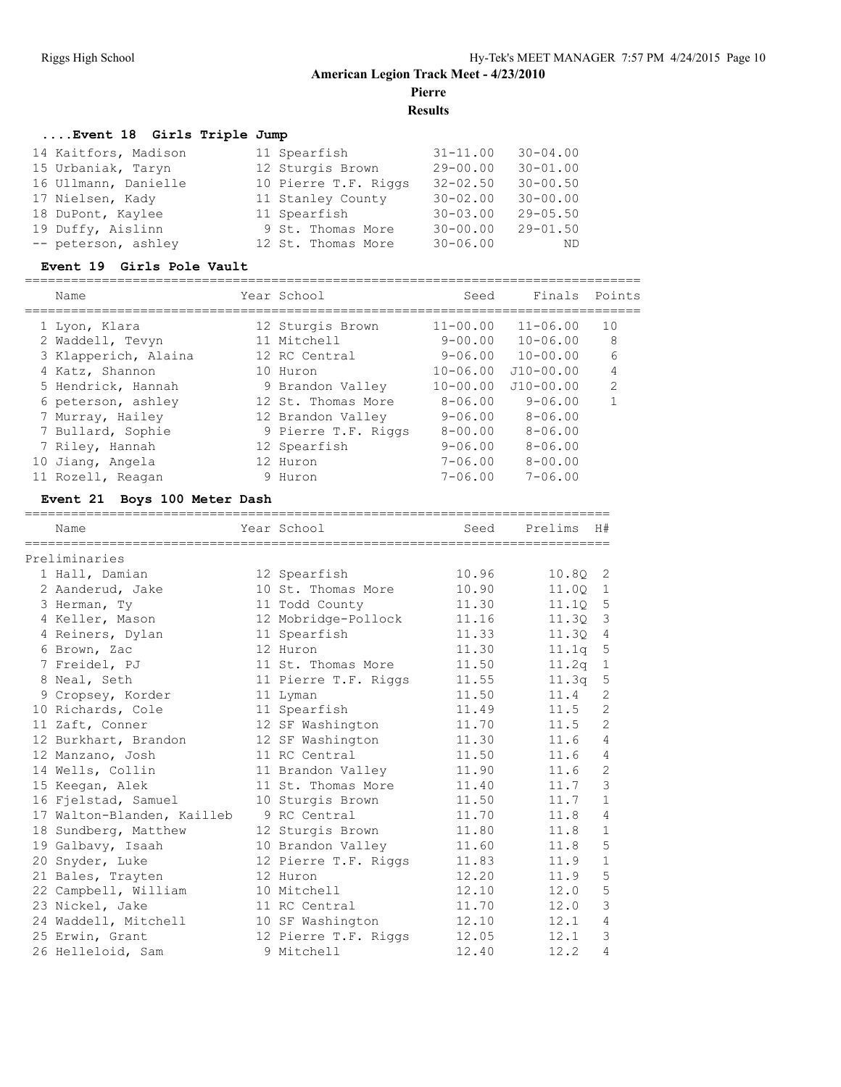## **American Legion Track Meet - 4/23/2010 Pierre**

**Results**

## **....Event 18 Girls Triple Jump**

| 14 Kaitfors, Madison | 11 Spearfish         | $31 - 11.00$ | $30 - 04.00$ |
|----------------------|----------------------|--------------|--------------|
| 15 Urbaniak, Taryn   | 12 Sturgis Brown     | $29 - 00.00$ | $30 - 01.00$ |
| 16 Ullmann, Danielle | 10 Pierre T.F. Riggs | $32 - 02.50$ | $30 - 00.50$ |
| 17 Nielsen, Kady     | 11 Stanley County    | $30 - 02.00$ | $30 - 00.00$ |
| 18 DuPont, Kaylee    | 11 Spearfish         | $30 - 03.00$ | $29 - 05.50$ |
| 19 Duffy, Aislinn    | 9 St. Thomas More    | $30 - 00.00$ | $29 - 01.50$ |
| -- peterson, ashley  | 12 St. Thomas More   | $30 - 06.00$ | – ND         |

## **Event 19 Girls Pole Vault**

|    | Name                 | Year School         | Seed         | Finals       | Points         |
|----|----------------------|---------------------|--------------|--------------|----------------|
|    | 1 Lyon, Klara        | 12 Sturgis Brown    | $11 - 00.00$ | $11 - 06.00$ | 10             |
|    | 2 Waddell, Tevyn     | 11 Mitchell         | $9 - 00.00$  | $10 - 06.00$ | 8              |
|    | 3 Klapperich, Alaina | 12 RC Central       | $9 - 06.00$  | $10 - 00.00$ | 6              |
|    | 4 Katz, Shannon      | 10 Huron            | $10 - 06.00$ | $J10-00.00$  | 4              |
|    | 5 Hendrick, Hannah   | 9 Brandon Valley    | $10 - 00.00$ | $J10-00.00$  | $\mathfrak{D}$ |
|    | 6 peterson, ashley   | 12 St. Thomas More  | $8 - 06.00$  | $9 - 06.00$  |                |
|    | 7 Murray, Hailey     | 12 Brandon Valley   | $9 - 06.00$  | $8 - 06.00$  |                |
|    | 7 Bullard, Sophie    | 9 Pierre T.F. Riggs | $8 - 00.00$  | $8 - 06.00$  |                |
|    | 7 Riley, Hannah      | 12 Spearfish        | $9 - 06.00$  | $8 - 06.00$  |                |
| 10 | Jiang, Angela        | 12 Huron            | $7 - 06.00$  | $8 - 00.00$  |                |
|    | 11 Rozell, Reagan    | 9 Huron             | $7 - 06.00$  | $7 - 06.00$  |                |

# **Event 21 Boys 100 Meter Dash**

| Name                       | Year School          | Seed  | Prelims           | H#             |
|----------------------------|----------------------|-------|-------------------|----------------|
| Preliminaries              |                      |       |                   |                |
| 1 Hall, Damian             | 12 Spearfish         | 10.96 | 10.80 2           |                |
| 2 Aanderud, Jake           | 10 St. Thomas More   | 10.90 | 11.00             | $\mathbf{1}$   |
| 3 Herman, Ty               | 11 Todd County       | 11.30 | 11.10             | $\mathsf S$    |
| 4 Keller, Mason            | 12 Mobridge-Pollock  | 11.16 | 11.30             | 3              |
| 4 Reiners, Dylan           | 11 Spearfish         | 11.33 | 11.30 4           |                |
| 6 Brown, Zac               | 12 Huron             | 11.30 | 11.1q             | 5              |
| 7 Freidel, PJ              | 11 St. Thomas More   | 11.50 | 11.2 <sub>q</sub> | $\mathbf{1}$   |
| 8 Neal, Seth               | 11 Pierre T.F. Riggs | 11.55 | 11.3q             | 5              |
| 9 Cropsey, Korder          | 11 Lyman             | 11.50 | 11.4              | 2              |
| 10 Richards, Cole          | 11 Spearfish         | 11.49 | 11.5              | $\overline{c}$ |
| 11 Zaft, Conner            | 12 SF Washington     | 11.70 | 11.5              | $\overline{c}$ |
| 12 Burkhart, Brandon       | 12 SF Washington     | 11.30 | 11.6              | $\overline{4}$ |
| 12 Manzano, Josh           | 11 RC Central        | 11.50 | 11.6              | $\overline{4}$ |
| 14 Wells, Collin           | 11 Brandon Valley    | 11.90 | 11.6              | $\overline{c}$ |
| 15 Keegan, Alek            | 11 St. Thomas More   | 11.40 | 11.7              | $\mathcal{S}$  |
| 16 Fjelstad, Samuel        | 10 Sturgis Brown     | 11.50 | 11.7              | $\mathbf{1}$   |
| 17 Walton-Blanden, Kailleb | 9 RC Central         | 11.70 | 11.8              | $\overline{4}$ |
| 18 Sundberg, Matthew       | 12 Sturgis Brown     | 11.80 | 11.8              | $\mathbf{1}$   |
| 19 Galbavy, Isaah          | 10 Brandon Valley    | 11.60 | 11.8              | 5              |
| 20 Snyder, Luke            | 12 Pierre T.F. Riggs | 11.83 | 11.9              | $\mathbf{1}$   |
| 21 Bales, Trayten          | 12 Huron             | 12.20 | 11.9              | 5              |
| 22 Campbell, William       | 10 Mitchell          | 12.10 | 12.0              | 5              |
| 23 Nickel, Jake            | 11 RC Central        | 11.70 | 12.0              | 3              |
| 24 Waddell, Mitchell       | 10 SF Washington     | 12.10 | 12.1              | 4              |
| 25 Erwin, Grant            | 12 Pierre T.F. Riggs | 12.05 | 12.1              | 3              |
| 26 Helleloid, Sam          | 9 Mitchell           | 12.40 | 12.2              | $\overline{4}$ |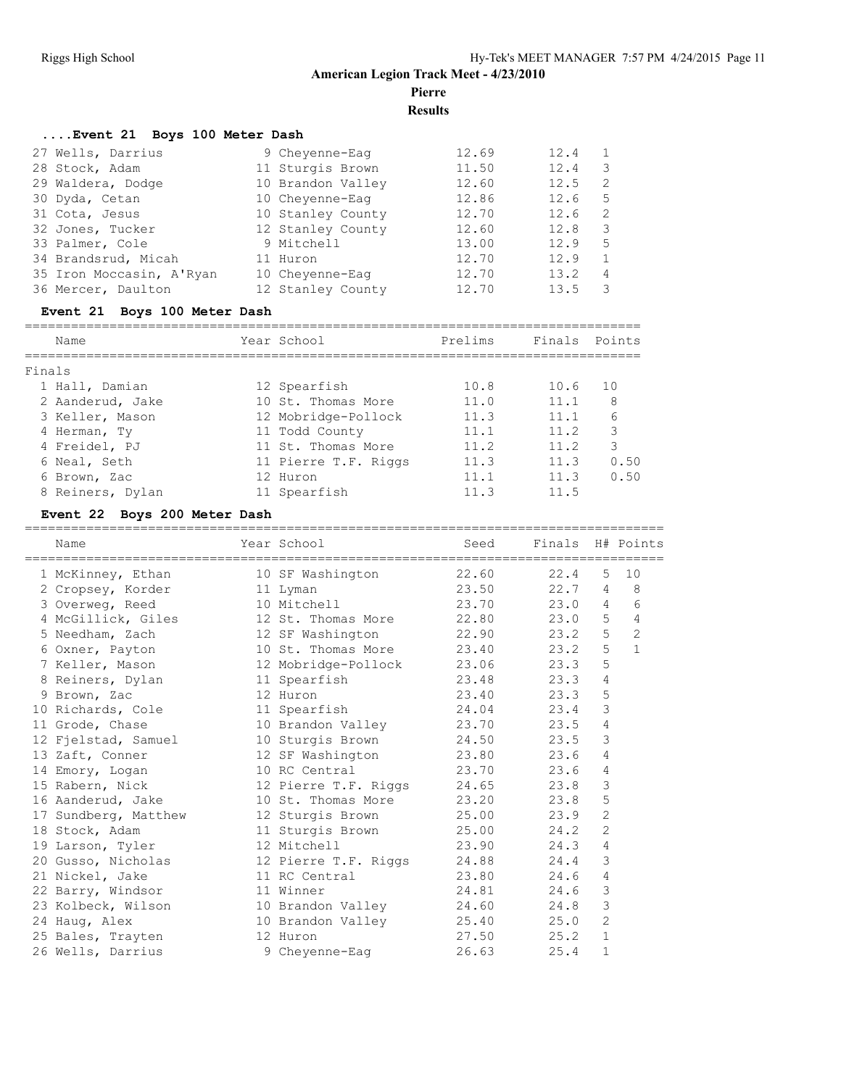**Pierre**

**Results**

## **....Event 21 Boys 100 Meter Dash**

| 27 Wells, Darrius        | 9 Cheyenne-Eag    | 12.69 | 12.4 |     |
|--------------------------|-------------------|-------|------|-----|
| 28 Stock, Adam           | 11 Sturgis Brown  | 11.50 | 12.4 | 3   |
| 29 Waldera, Dodge        | 10 Brandon Valley | 12.60 | 12.5 | -2  |
| 30 Dyda, Cetan           | 10 Cheyenne-Eag   | 12.86 | 12.6 | .5  |
| 31 Cota, Jesus           | 10 Stanley County | 12.70 | 12.6 | - 2 |
| 32 Jones, Tucker         | 12 Stanley County | 12.60 | 12.8 | 3   |
| 33 Palmer, Cole          | 9 Mitchell        | 13.00 | 12.9 | 5   |
| 34 Brandsrud, Micah      | 11 Huron          | 12.70 | 12.9 | 1   |
| 35 Iron Moccasin, A'Ryan | 10 Chevenne-Eag   | 12.70 | 13.2 | 4   |
| 36 Mercer, Daulton       | 12 Stanley County | 12.70 | 13.5 | 3   |

## **Event 21 Boys 100 Meter Dash**

| Name             | Year School          | Prelims | Finals | Points |
|------------------|----------------------|---------|--------|--------|
|                  |                      |         |        |        |
| Finals           |                      |         |        |        |
| 1 Hall, Damian   | 12 Spearfish         | 10.8    | 10.6   | 1 O    |
| 2 Aanderud, Jake | 10 St. Thomas More   | 11.0    | 11.1   | 8      |
| 3 Keller, Mason  | 12 Mobridge-Pollock  | 11.3    | 11.1   | 6      |
| 4 Herman, Ty     | 11 Todd County       | 11.1    | 11.2   | 3      |
| 4 Freidel, PJ    | 11 St. Thomas More   | 11.2    | 11.2   | 3      |
| 6 Neal, Seth     | 11 Pierre T.F. Riggs | 11 3    | 11.3   | 0.50   |
| 6 Brown, Zac     | 12 Huron             | 11.1    | 11.3   | 0.50   |
| 8 Reiners, Dylan | 11 Spearfish         | 11.3    | 11.5   |        |

## **Event 22 Boys 200 Meter Dash**

| Name                                                                 |           | Year School                | Seed  | Finals H# Points |                |                |
|----------------------------------------------------------------------|-----------|----------------------------|-------|------------------|----------------|----------------|
|                                                                      |           |                            |       |                  |                |                |
| 1 McKinney, Ethan                                                    |           | 10 SF Washington           | 22.60 | 22.4             | 5              | 10             |
| 2 Cropsey, Korder                                                    |           | 11 Lyman                   | 23.50 | 22.7             | 4              | 8              |
| 3 Overweg, Reed                                                      |           | 10 Mitchell                | 23.70 | 23.0             | $\overline{4}$ | 6              |
| 4 McGillick, Giles 12 St. Thomas More                                |           |                            | 22.80 | 23.0             | 5              | 4              |
| 5 Needham, Zach                 12 SF Washington               22.90 |           |                            |       | 23.2             | 5              | $\overline{c}$ |
| 6 Oxner, Payton                                                      |           | 10 St. Thomas More 23.40   |       | 23.2             | 5              | $\mathbf{1}$   |
| 7 Keller, Mason 12 Mobridge-Pollock 23.06                            |           |                            |       | 23.3             | 5              |                |
| 8 Reiners, Dylan                                                     |           | 11 Spearfish               | 23.48 | 23.3             | 4              |                |
| 9 Brown, Zac                                                         | 12 Huron  |                            | 23.40 | 23.3             | 5              |                |
| 10 Richards, Cole                                                    |           | 11 Spearfish               | 24.04 | 23.4             | 3              |                |
| 11 Grode, Chase                                                      |           | 10 Brandon Valley          | 23.70 | 23.5             | 4              |                |
| 12 Fjelstad, Samuel 10 Sturgis Brown 24.50                           |           |                            |       | 23.5             | 3              |                |
| 13 Zaft, Conner                                                      |           | 12 SF Washington 23.80     |       | 23.6             | 4              |                |
| 14 Emory, Logan                                                      |           | 10 RC Central              | 23.70 | 23.6             | 4              |                |
| 15 Rabern, Nick                                                      |           | 12 Pierre T.F. Riggs 24.65 |       | 23.8             | 3              |                |
| 16 Aanderud, Jake                                                    |           | 10 St. Thomas More         | 23.20 | 23.8             | 5              |                |
| 17 Sundberg, Matthew 12 Sturgis Brown                                |           |                            | 25.00 | 23.9             | $\overline{2}$ |                |
| 18 Stock, Adam                                                       |           | 11 Sturgis Brown           | 25.00 | 24.2             | $\overline{2}$ |                |
| 19 Larson, Tyler                                                     |           | 12 Mitchell                | 23.90 | 24.3             | 4              |                |
| 20 Gusso, Nicholas                                                   |           | 12 Pierre T.F. Riggs       | 24.88 | 24.4             | 3              |                |
| 21 Nickel, Jake                                                      |           | 11 RC Central              | 23.80 | 24.6             | 4              |                |
| 22 Barry, Windsor                                                    | 11 Winner |                            | 24.81 | 24.6             | 3              |                |
| 23 Kolbeck, Wilson 10 Brandon Valley                                 |           |                            | 24.60 | 24.8             | 3              |                |
| 24 Haug, Alex                                                        |           | 10 Brandon Valley          | 25.40 | 25.0             | $\overline{2}$ |                |
| 25 Bales, Trayten                                                    |           | 12 Huron                   | 27.50 | 25.2             | $\mathbf{1}$   |                |
| 26 Wells, Darrius                                                    |           | 9 Cheyenne-Eaq             | 26.63 | 25.4             | $\mathbf{1}$   |                |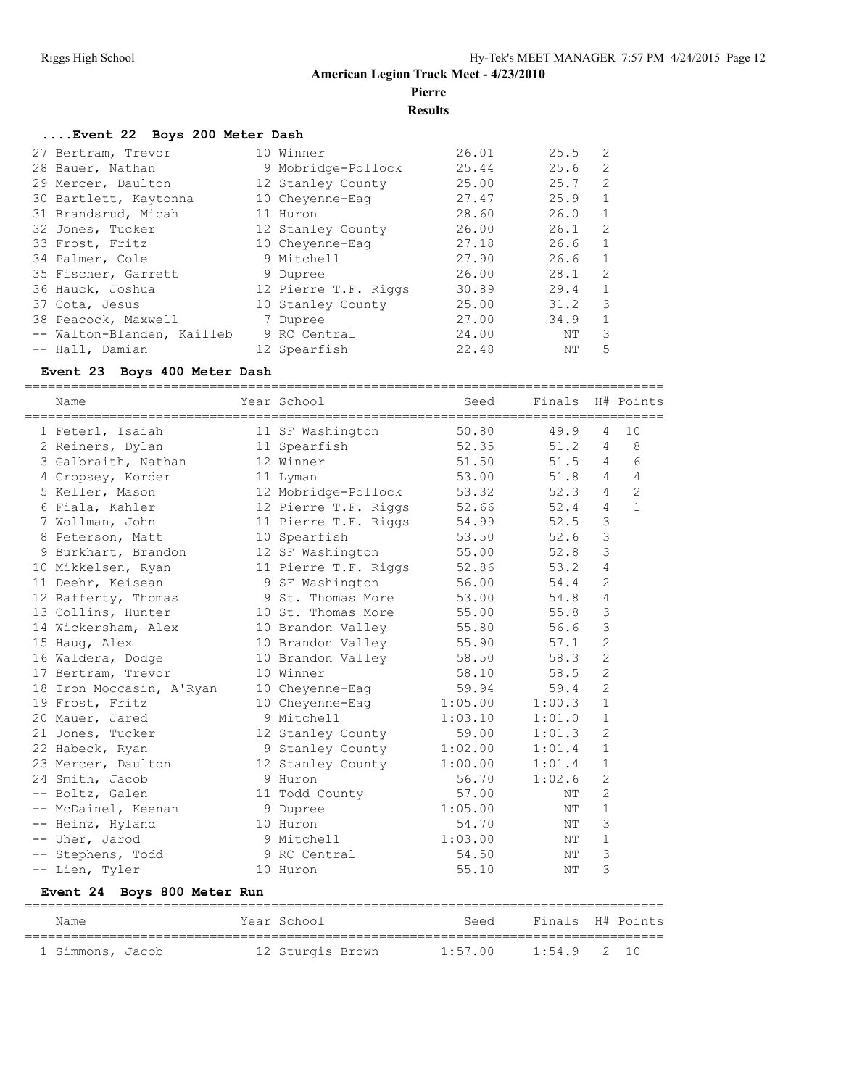**Pierre**

**Results**

#### **....Event 22 Boys 200 Meter Dash**

| 27 Bertram, Trevor         | 10 Winner            | 26.01 | 25.5 | 2            |
|----------------------------|----------------------|-------|------|--------------|
| 28 Bauer, Nathan           | 9 Mobridge-Pollock   | 25.44 | 25.6 | 2            |
| 29 Mercer, Daulton         | 12 Stanley County    | 25.00 | 25.7 | 2            |
| 30 Bartlett, Kaytonna      | 10 Cheyenne-Eaq      | 27.47 | 25.9 | $\mathbf{1}$ |
| 31 Brandsrud, Micah        | 11 Huron             | 28.60 | 26.0 | $\mathbf{1}$ |
| 32 Jones, Tucker           | 12 Stanley County    | 26.00 | 26.1 | 2            |
| 33 Frost, Fritz            | 10 Cheyenne-Eag      | 27.18 | 26.6 | $\mathbf{1}$ |
| 34 Palmer, Cole            | 9 Mitchell           | 27.90 | 26.6 | $\mathbf{1}$ |
| 35 Fischer, Garrett        | 9 Dupree             | 26.00 | 28.1 | 2            |
| 36 Hauck, Joshua           | 12 Pierre T.F. Riggs | 30.89 | 29.4 | $\mathbf{1}$ |
| 37 Cota, Jesus             | 10 Stanley County    | 25.00 | 31.2 | 3            |
| 38 Peacock, Maxwell        | 7 Dupree             | 27.00 | 34.9 | $\mathbf{1}$ |
| -- Walton-Blanden, Kailleb | 9 RC Central         | 24.00 | ΝT   | 3            |
| -- Hall, Damian            | 12 Spearfish         | 22.48 | NΤ   | 5            |

#### **Event 23 Boys 400 Meter Dash**

=================================================================================== Name Year School Seed Finals H# Points =================================================================================== 1 Feterl, Isaiah 11 SF Washington 50.80 49.9 4 10 2 Reiners, Dylan 11 Spearfish 52.35 51.2 4 8 3 Galbraith, Nathan 12 Winner 51.50 51.5 4 6 4 Cropsey, Korder 11 Lyman 53.00 51.8 4 4 5 Keller, Mason 12 Mobridge-Pollock 53.32 52.3 4 2 6 Fiala, Kahler 12 Pierre T.F. Riggs 52.66 52.4 4 1 7 Wollman, John 11 Pierre T.F. Riggs 54.99 52.5 3 8 Peterson, Matt 10 Spearfish 53.50 52.6 3 9 Burkhart, Brandon 12 SF Washington 55.00 52.8 3 10 Mikkelsen, Ryan 11 Pierre T.F. Riggs 52.86 53.2 4 11 Deehr, Keisean 9 SF Washington 56.00 54.4 2 12 Rafferty, Thomas 9 St. Thomas More 53.00 54.8 4 13 Collins, Hunter 10 St. Thomas More 55.00 55.8 3 14 Wickersham, Alex 10 Brandon Valley 55.80 56.6 3 15 Haug, Alex 10 Brandon Valley 55.90 57.1 2 16 Waldera, Dodge 10 Brandon Valley 58.50 58.3 2 17 Bertram, Trevor 10 Winner 58.10 58.5 2 18 Iron Moccasin, A'Ryan 10 Cheyenne-Eag 59.94 59.4 2 19 Frost, Fritz 10 Cheyenne-Eag 1:05.00 1:00.3 1 20 Mauer, Jared 9 Mitchell 1:03.10 1:01.0 1 21 Jones, Tucker 12 Stanley County 59.00 1:01.3 2 22 Habeck, Ryan 9 Stanley County 1:02.00 1:01.4 1 23 Mercer, Daulton 12 Stanley County 1:00.00 1:01.4 1 24 Smith, Jacob 9 Huron 56.70 1:02.6 2 -- Boltz, Galen 11 Todd County 57.00 NT 2 -- McDainel, Keenan 9 Dupree 1:05.00 NT 1 -- Heinz, Hyland 10 Huron 54.70 NT 3 -- Uher, Jarod 9 Mitchell 1:03.00 NT 1 -- Stephens, Todd 9 RC Central 54.50 NT 3 -- Lien, Tyler 10 Huron 10 Hotel 55.10 NT 3

#### **Event 24 Boys 800 Meter Run**

| Name             |  | Year School      | Seed    | Finals H# Points |  |
|------------------|--|------------------|---------|------------------|--|
| 1 Simmons, Jacob |  | 12 Sturgis Brown | 1:57.00 | $1:54.9$ 2 10    |  |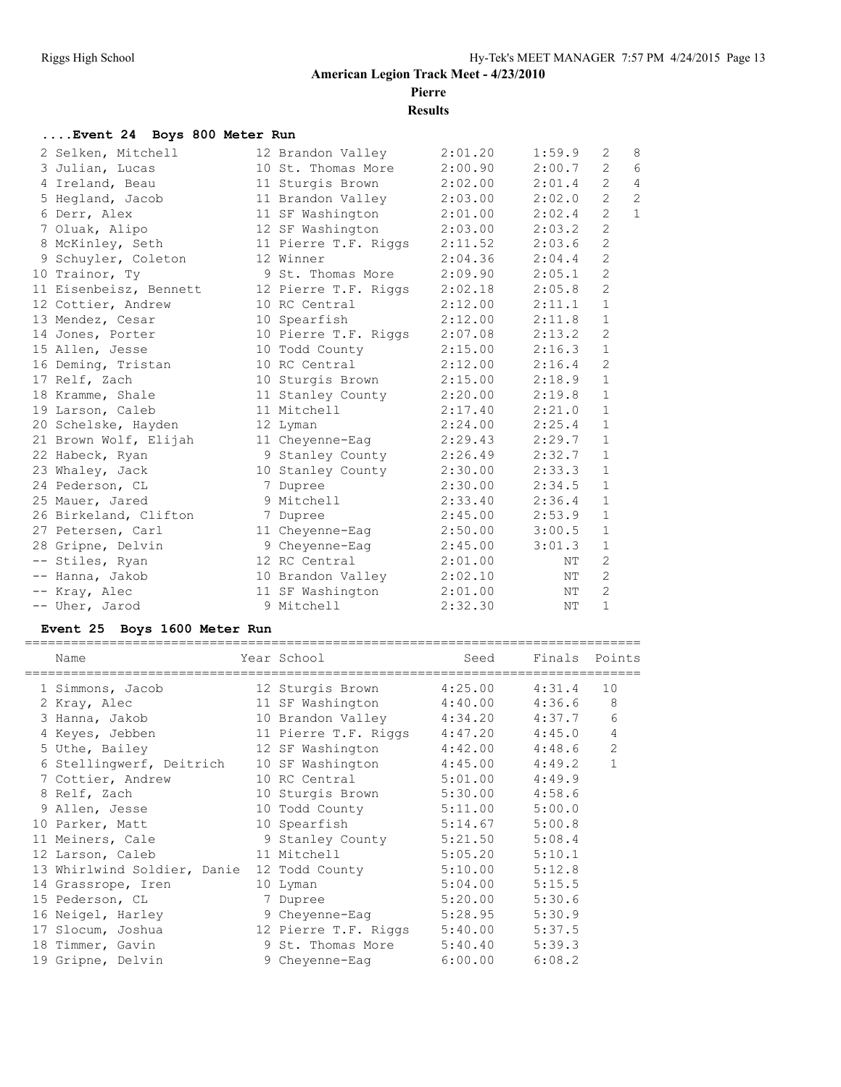## **American Legion Track Meet - 4/23/2010 Pierre**

**Results**

## **....Event 24 Boys 800 Meter Run**

| 2 Selken, Mitchell     | 12 Brandon Valley            | 2:01.20 | 1:59.9 | 2                     | 8              |
|------------------------|------------------------------|---------|--------|-----------------------|----------------|
| 3 Julian, Lucas        | 10 St. Thomas More           | 2:00.90 | 2:00.7 | $\overline{2}$        | 6              |
| 4 Ireland, Beau        | 11 Sturgis Brown             | 2:02.00 | 2:01.4 | $\overline{2}$        | $\overline{4}$ |
| 5 Hegland, Jacob       | 11 Brandon Valley            | 2:03.00 | 2:02.0 | $\mathbf{2}$          | $\overline{c}$ |
| 6 Derr, Alex           | 11 SF Washington             | 2:01.00 | 2:02.4 | $\overline{2}$        | $\mathbf{1}$   |
| 7 Oluak, Alipo         | 12 SF Washington             | 2:03.00 | 2:03.2 | $\mathbf{2}$          |                |
| 8 McKinley, Seth       | 11 Pierre T.F. Riggs 2:11.52 |         | 2:03.6 | $\mathbf{2}^{\prime}$ |                |
| 9 Schuyler, Coleton    | 12 Winner                    | 2:04.36 | 2:04.4 | 2                     |                |
| 10 Trainor, Ty         | 9 St. Thomas More            | 2:09.90 | 2:05.1 | 2                     |                |
| 11 Eisenbeisz, Bennett | 12 Pierre T.F. Riggs         | 2:02.18 | 2:05.8 | 2                     |                |
| 12 Cottier, Andrew     | 10 RC Central                | 2:12.00 | 2:11.1 | $\mathbf{1}$          |                |
| 13 Mendez, Cesar       | 10 Spearfish                 | 2:12.00 | 2:11.8 | $\mathbf{1}$          |                |
| 14 Jones, Porter       | 10 Pierre T.F. Riggs 2:07.08 |         | 2:13.2 | 2                     |                |
| 15 Allen, Jesse        | 10 Todd County               | 2:15.00 | 2:16.3 | $\mathbf{1}$          |                |
| 16 Deming, Tristan     | 10 RC Central                | 2:12.00 | 2:16.4 | 2                     |                |
| 17 Relf, Zach          | 10 Sturgis Brown             | 2:15.00 | 2:18.9 | $\mathbf{1}$          |                |
| 18 Kramme, Shale       | 11 Stanley County            | 2:20.00 | 2:19.8 | $\mathbf{1}$          |                |
| 19 Larson, Caleb       | 11 Mitchell                  | 2:17.40 | 2:21.0 | $\mathbf{1}$          |                |
| 20 Schelske, Hayden    | 12 Lyman                     | 2:24.00 | 2:25.4 | $\mathbf{1}$          |                |
| 21 Brown Wolf, Elijah  | 11 Cheyenne-Eag              | 2:29.43 | 2:29.7 | $\mathbf{1}$          |                |
| 22 Habeck, Ryan        | 9 Stanley County             | 2:26.49 | 2:32.7 | $\mathbf{1}$          |                |
| 23 Whaley, Jack        | 10 Stanley County            | 2:30.00 | 2:33.3 | $\mathbf{1}$          |                |
| 24 Pederson, CL        | 7 Dupree                     | 2:30.00 | 2:34.5 | $\mathbf{1}$          |                |
| 25 Mauer, Jared        | 9 Mitchell                   | 2:33.40 | 2:36.4 | $\mathbf{1}$          |                |
| 26 Birkeland, Clifton  | 7 Dupree                     | 2:45.00 | 2:53.9 | $\mathbf{1}$          |                |
| 27 Petersen, Carl      | 11 Cheyenne-Eag 2:50.00      |         | 3:00.5 | $\mathbf{1}$          |                |
| 28 Gripne, Delvin      | 9 Cheyenne-Eaq               | 2:45.00 | 3:01.3 | $\mathbf{1}$          |                |
| -- Stiles, Ryan        | 12 RC Central                | 2:01.00 | NT     | 2                     |                |
| -- Hanna, Jakob        | 10 Brandon Valley            | 2:02.10 | NT     | 2                     |                |
| -- Kray, Alec          | 11 SF Washington             | 2:01.00 | NT     | 2                     |                |
| -- Uher, Jarod         | 9 Mitchell                   | 2:32.30 | NΤ     | $\mathbf{1}$          |                |
|                        |                              |         |        |                       |                |

## **Event 25 Boys 1600 Meter Run**

| Name<br>========================  | Year School              | Seed    | Finals Points |                |
|-----------------------------------|--------------------------|---------|---------------|----------------|
| 1 Simmons, Jacob                  | 12 Sturgis Brown         | 4:25.00 | 4:31.4        | 10             |
| 2 Kray, Alec                      | 11 SF Washington         | 4:40.00 | 4:36.6        | 8              |
| 3 Hanna, Jakob Mandara            | 10 Brandon Valley        | 4:34.20 | 4:37.7        | 6              |
| 4 Keyes, Jebben                   | 11 Pierre T.F. Riggs     | 4:47.20 | 4:45.0        | 4              |
| 5 Uthe, Bailey                    | 12 SF Washington         | 4:42.00 | 4:48.6        | $\overline{c}$ |
| 6 Stellingwerf, Deitrich          | 10 SF Washington         | 4:45.00 | 4:49.2        | $\mathbf{1}$   |
| 7 Cottier, Andrew                 | 10 RC Central            | 5:01.00 | 4:49.9        |                |
| 8 Relf, Zach                      | 10 Sturgis Brown         | 5:30.00 | 4:58.6        |                |
| 9 Allen, Jesse                    | 10 Todd County           | 5:11.00 | 5:00.0        |                |
| 10 Parker, Matt                   | 10 Spearfish             | 5:14.67 | 5:00.8        |                |
| 11 Meiners, Cale 9 Stanley County |                          | 5:21.50 | 5:08.4        |                |
| 12 Larson, Caleb                  | 11 Mitchell and Mitchell | 5:05.20 | 5:10.1        |                |
| 13 Whirlwind Soldier, Danie       | 12 Todd County           | 5:10.00 | 5:12.8        |                |
| 14 Grassrope, Iren                | 10 Lyman                 | 5:04.00 | 5:15.5        |                |
| 15 Pederson, CL                   | 7 Dupree                 | 5:20.00 | 5:30.6        |                |
| 16 Neigel, Harley                 | 9 Cheyenne-Eaq           | 5:28.95 | 5:30.9        |                |
| 17 Slocum, Joshua                 | 12 Pierre T.F. Riggs     | 5:40.00 | 5:37.5        |                |
| 18 Timmer, Gavin                  | 9 St. Thomas More        | 5:40.40 | 5:39.3        |                |
| 19 Gripne, Delvin                 | 9 Chevenne-Eag           | 6:00.00 | 6:08.2        |                |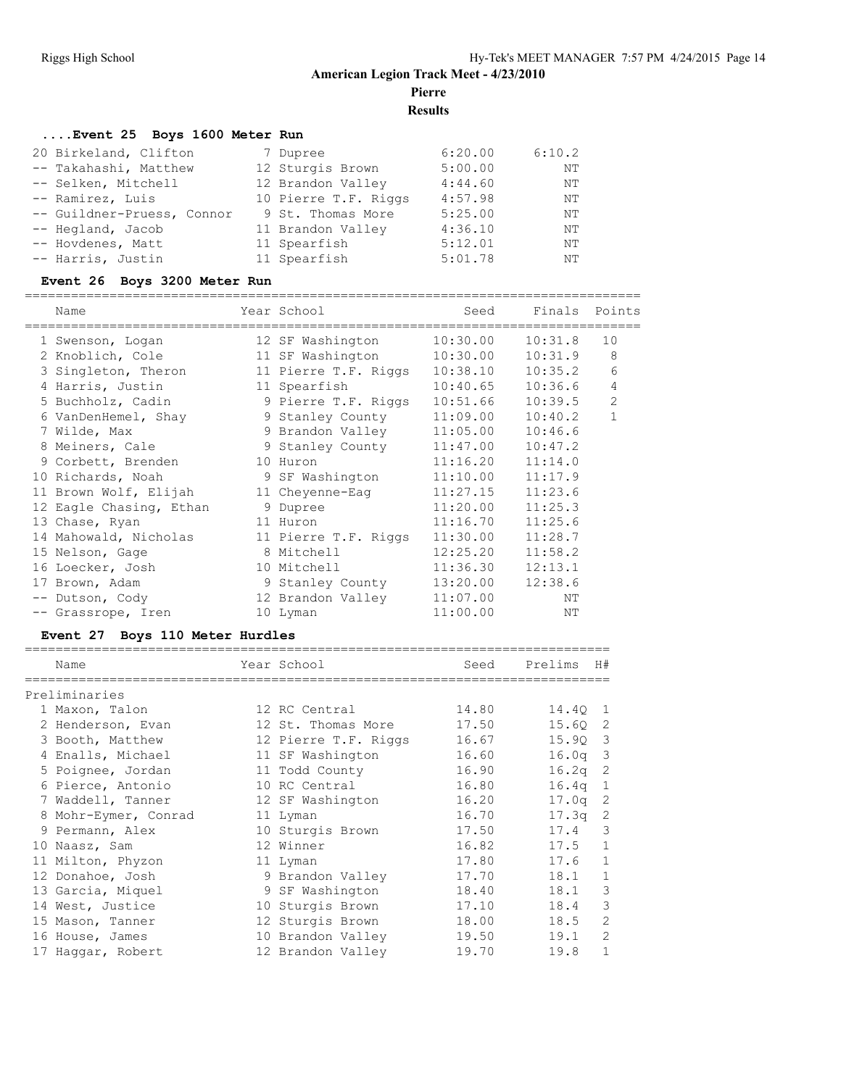**Pierre**

**Results**

================================================================================

## **....Event 25 Boys 1600 Meter Run**

| 20 Birkeland, Clifton      | 7 Dupree             | 6:20.00 | 6:10.2 |
|----------------------------|----------------------|---------|--------|
| -- Takahashi, Matthew      | 12 Sturgis Brown     | 5:00.00 | NΤ     |
| -- Selken, Mitchell        | 12 Brandon Valley    | 4:44.60 | NΤ     |
| -- Ramirez, Luis           | 10 Pierre T.F. Riggs | 4:57.98 | NΤ     |
| -- Guildner-Pruess, Connor | 9 St. Thomas More    | 5:25.00 | NΤ     |
| -- Hegland, Jacob          | 11 Brandon Valley    | 4:36.10 | NΤ     |
| -- Hovdenes, Matt          | 11 Spearfish         | 5:12.01 | NΤ     |
| -- Harris, Justin          | 11 Spearfish         | 5:01.78 | NΤ     |

## **Event 26 Boys 3200 Meter Run**

| Name                    | Year School          | Seed     | Finals Points |    |
|-------------------------|----------------------|----------|---------------|----|
| 1 Swenson, Logan        | 12 SF Washington     | 10:30.00 | 10:31.8       | 10 |
| 2 Knoblich, Cole        | 11 SF Washington     | 10:30.00 | 10:31.9       | 8  |
| 3 Singleton, Theron     |                      |          | 10:35.2       | 6  |
| 4 Harris, Justin        | 11 Spearfish         | 10:40.65 | 10:36.6       | 4  |
| 5 Buchholz, Cadin       | 9 Pierre T.F. Riggs  | 10:51.66 | 10:39.5       | 2  |
| 6 VanDenHemel, Shay     | 9 Stanley County     | 11:09.00 | 10:40.2       | 1  |
| 7 Wilde, Max            | 9 Brandon Valley     | 11:05.00 | 10:46.6       |    |
| 8 Meiners, Cale         | 9 Stanley County     | 11:47.00 | 10:47.2       |    |
| 9 Corbett, Brenden      | 10 Huron             | 11:16.20 | 11:14.0       |    |
| 10 Richards, Noah       | 9 SF Washington      | 11:10.00 | 11:17.9       |    |
| 11 Brown Wolf, Elijah   | 11 Cheyenne-Eag      | 11:27.15 | 11:23.6       |    |
| 12 Eagle Chasing, Ethan | 9 Dupree             | 11:20.00 | 11:25.3       |    |
| 13 Chase, Ryan          | 11 Huron             | 11:16.70 | 11:25.6       |    |
| 14 Mahowald, Nicholas   | 11 Pierre T.F. Riggs | 11:30.00 | 11:28.7       |    |
| 15 Nelson, Gage         | 8 Mitchell           | 12:25.20 | 11:58.2       |    |
| 16 Loecker, Josh        | 10 Mitchell          | 11:36.30 | 12:13.1       |    |
| 17 Brown, Adam          | 9 Stanley County     | 13:20.00 | 12:38.6       |    |
| -- Dutson, Cody         | 12 Brandon Valley    | 11:07.00 | NΤ            |    |
| -- Grassrope, Iren      | 10 Lyman             | 11:00.00 | NΤ            |    |
|                         |                      |          |               |    |

## **Event 27 Boys 110 Meter Hurdles**

| Name                 | Year School          | Seed  | Prelims   | H#             |
|----------------------|----------------------|-------|-----------|----------------|
| Preliminaries        |                      |       |           |                |
| 1 Maxon, Talon       | 12 RC Central        | 14.80 | 14.40 1   |                |
| 2 Henderson, Evan    | 12 St. Thomas More   | 17.50 | 15.60     | 2              |
| 3 Booth, Matthew     | 12 Pierre T.F. Riggs | 16.67 | 15.90 3   |                |
| 4 Enalls, Michael    | 11 SF Washington     | 16.60 | $16.0q$ 3 |                |
| 5 Poignee, Jordan    | 11 Todd County       | 16.90 | 16.2q     | 2              |
| 6 Pierce, Antonio    | 10 RC Central        | 16.80 | 16.4q     | $\mathbf{1}$   |
| 7 Waddell, Tanner    | 12 SF Washington     | 16.20 | 17.0q     | 2              |
| 8 Mohr-Eymer, Conrad | 11 Lyman             | 16.70 | 17.3a     | 2              |
| 9 Permann, Alex      | 10 Sturgis Brown     | 17.50 | 17.4      | 3              |
| 10 Naasz, Sam        | 12 Winner            | 16.82 | 17.5      | 1              |
| 11 Milton, Phyzon    | 11 Lyman             | 17.80 | 17.6      | $\mathbf{1}$   |
| 12 Donahoe, Josh     | 9 Brandon Valley     | 17.70 | 18.1      | $\mathbf{1}$   |
| 13 Garcia, Miquel    | 9 SF Washington      | 18.40 | 18.1      | 3              |
| 14 West, Justice     | 10 Sturgis Brown     | 17.10 | 18.4      | 3              |
| 15 Mason, Tanner     | 12 Sturgis Brown     | 18.00 | 18.5      | 2              |
| 16 House, James      | 10 Brandon Valley    | 19.50 | 19.1      | $\overline{2}$ |
| 17 Haqqar, Robert    | 12 Brandon Valley    | 19.70 | 19.8      | $\mathbf{1}$   |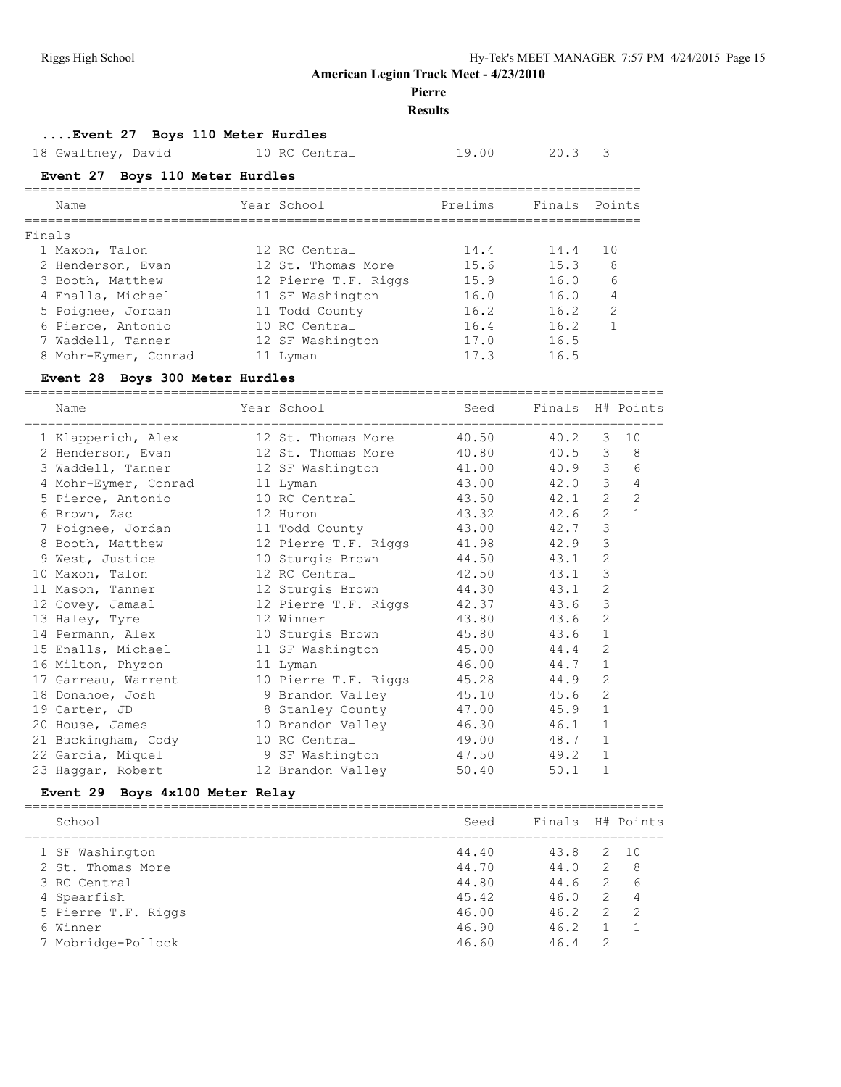#### **Pierre**

#### **Results**

#### **....Event 27 Boys 110 Meter Hurdles**

18 Gwaltney, David 10 RC Central 19.00 20.3 3

## **Event 27 Boys 110 Meter Hurdles**

| Name                 | Year School          | Prelims | Finals Points |                |
|----------------------|----------------------|---------|---------------|----------------|
| Finals               |                      |         |               |                |
| 1 Maxon, Talon       | 12 RC Central        | 14.4    | 14.4          | 10             |
| 2 Henderson, Evan    | 12 St. Thomas More   | 15.6    | 15.3          | 8              |
| 3 Booth, Matthew     | 12 Pierre T.F. Riggs | 15.9    | 16.0          | 6              |
| 4 Enalls, Michael    | 11 SF Washington     | 16.0    | 16.0          |                |
| 5 Poignee, Jordan    | 11 Todd County       | 16.2    | 16.2          | $\mathfrak{D}$ |
| 6 Pierce, Antonio    | 10 RC Central        | 16.4    | 16.2          |                |
| 7 Waddell, Tanner    | 12 SF Washington     | 17.0    | 16.5          |                |
| 8 Mohr-Eymer, Conrad | 11 Lyman             | 17.3    | 16.5          |                |

#### **Event 28 Boys 300 Meter Hurdles**

=================================================================================== Name The Year School Seed Finals H# Points =================================================================================== 1 Klapperich, Alex 12 St. Thomas More 40.50 40.2 3 10 2 Henderson, Evan 12 St. Thomas More 40.80 40.5 3 8 3 Waddell, Tanner 12 SF Washington 41.00 40.9 3 6 4 Mohr-Eymer, Conrad 11 Lyman 43.00 42.0 3 4 5 Pierce, Antonio 10 RC Central 43.50 42.1 2 2 6 Brown, Zac 12 Huron 43.32 42.6 2 1 7 Poignee, Jordan 11 Todd County 43.00 42.7 3 8 Booth, Matthew 12 Pierre T.F. Riggs 41.98 42.9 3 9 West, Justice  $10$  Sturgis Brown  $44.50$   $43.1$  2 10 Maxon, Talon 12 RC Central 42.50 43.1 3 11 Mason, Tanner 12 Sturgis Brown 44.30 43.1 2 12 Covey, Jamaal 12 Pierre T.F. Riggs 42.37 43.6 3 13 Haley, Tyrel 12 Winner 43.80 43.6 2 14 Permann, Alex 10 Sturgis Brown 45.80 43.6 1 15 Enalls, Michael 11 SF Washington 45.00 44.4 2 16 Milton, Phyzon 11 Lyman 46.00 44.7 1 17 Garreau, Warrent 10 Pierre T.F. Riggs 45.28 44.9 2 18 Donahoe, Josh 9 Brandon Valley 45.10 45.6 2 19 Carter, JD 8 Stanley County 47.00 45.9 1 20 House, James 10 Brandon Valley 46.30 46.1 1 21 Buckingham, Cody 10 RC Central 49.00 48.7 1 22 Garcia, Miquel 9 SF Washington 47.50 49.2 1 23 Haggar, Robert 12 Brandon Valley 50.40 50.1 1

#### **Event 29 Boys 4x100 Meter Relay**

| School              | Seed  | Finals H# Points |   |     |
|---------------------|-------|------------------|---|-----|
| 1 SF Washington     | 44.40 | 43.8             | 2 | 1 O |
| 2 St. Thomas More   | 44.70 | 44.0             | 2 | 8   |
| 3 RC Central        | 44.80 | 44.6             | 2 | 6   |
| 4 Spearfish         | 45.42 | 46.0             | 2 | 4   |
| 5 Pierre T.F. Riggs | 46.00 | 46.2             | 2 | -2  |
| 6 Winner            | 46.90 | 46.2             |   |     |
| 7 Mobridge-Pollock  | 46.60 | 46.4             | 2 |     |
|                     |       |                  |   |     |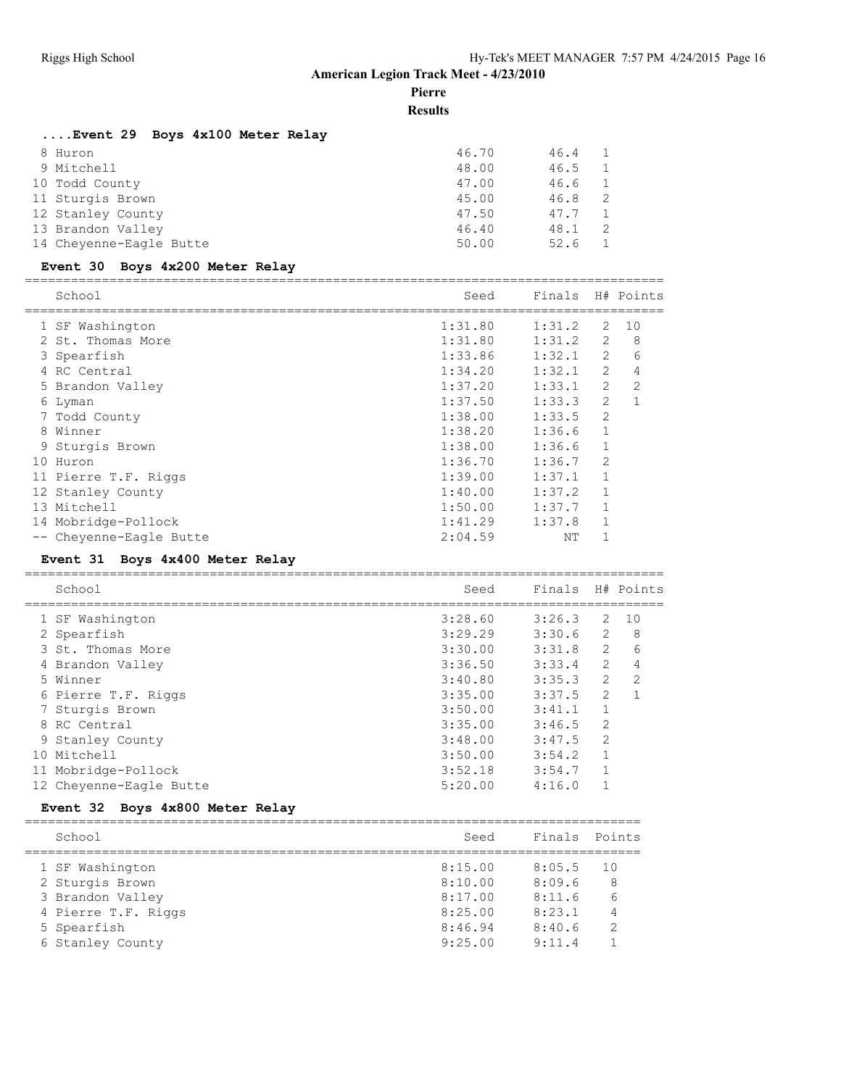## **Pierre**

## **Results**

## **....Event 29 Boys 4x100 Meter Relay**

| 8 Huron                 | 46.70 | 46.4 |     |
|-------------------------|-------|------|-----|
| 9 Mitchell              | 48.00 | 46.5 |     |
| 10 Todd County          | 47.00 | 46.6 |     |
| 11 Sturgis Brown        | 45.00 | 46.8 | - 2 |
| 12 Stanley County       | 47.50 | 47.7 |     |
| 13 Brandon Valley       | 46.40 | 48.1 | - 2 |
| 14 Cheyenne-Eagle Butte | 50.00 | 52.6 |     |

## **Event 30 Boys 4x200 Meter Relay**

|    | School               | Seed    | Finals |                | H# Points    |
|----|----------------------|---------|--------|----------------|--------------|
|    | 1 SF Washington      | 1:31.80 | 1:31.2 | 2              | 10           |
|    | 2 St. Thomas More    | 1:31.80 | 1:31.2 | $\overline{2}$ | 8            |
|    | 3 Spearfish          | 1:33.86 | 1:32.1 | 2              | 6            |
|    | 4 RC Central         | 1:34.20 | 1:32.1 | $\overline{2}$ | 4            |
|    | 5 Brandon Valley     | 1:37.20 | 1:33.1 | $\overline{2}$ | 2            |
|    | 6 Lyman              | 1:37.50 | 1:33.3 | 2              | $\mathbf{1}$ |
|    | 7 Todd County        | 1:38.00 | 1:33.5 | $\overline{2}$ |              |
|    | 8 Winner             | 1:38.20 | 1:36.6 | $\mathbf{1}$   |              |
|    | 9 Sturgis Brown      | 1:38.00 | 1:36.6 | $\mathbf{1}$   |              |
| 10 | Huron                | 1:36.70 | 1:36.7 | $\mathfrak{D}$ |              |
|    | 11 Pierre T.F. Riggs | 1:39.00 | 1:37.1 | $\mathbf{1}$   |              |
|    | 12 Stanley County    | 1:40.00 | 1:37.2 | 1              |              |
|    | 13 Mitchell          | 1:50.00 | 1:37.7 |                |              |
|    | 14 Mobridge-Pollock  | 1:41.29 | 1:37.8 |                |              |
|    | Cheyenne-Eagle Butte | 2:04.59 | ΝT     |                |              |
|    |                      |         |        |                |              |

## **Event 31 Boys 4x400 Meter Relay**

| School                  | Seed    | Finals |                | H# Points     |
|-------------------------|---------|--------|----------------|---------------|
| 1 SF Washington         | 3:28.60 | 3:26.3 | 2              | 1 O           |
| 2 Spearfish             | 3:29.29 | 3:30.6 | 2              | 8             |
| 3 St. Thomas More       | 3:30.00 | 3:31.8 | 2              | 6             |
| 4 Brandon Valley        | 3:36.50 | 3:33.4 | $\overline{2}$ | 4             |
| 5 Winner                | 3:40.80 | 3:35.3 | $\overline{2}$ | $\mathcal{L}$ |
| 6 Pierre T.F. Riggs     | 3:35.00 | 3:37.5 | $\overline{2}$ |               |
| 7 Sturgis Brown         | 3:50.00 | 3:41.1 |                |               |
| 8 RC Central            | 3:35.00 | 3:46.5 | 2              |               |
| 9 Stanley County        | 3:48.00 | 3:47.5 | $\mathfrak{D}$ |               |
| 10 Mitchell             | 3:50.00 | 3:54.2 |                |               |
| 11 Mobridge-Pollock     | 3:52.18 | 3:54.7 |                |               |
| 12 Cheyenne-Eagle Butte | 5:20.00 | 4:16.0 |                |               |
|                         |         |        |                |               |

## **Event 32 Boys 4x800 Meter Relay**

| School              | Seed    | Finals | Points |
|---------------------|---------|--------|--------|
| 1 SF Washington     | 8:15.00 | 8:05.5 | 1 O    |
| 2 Sturgis Brown     | 8:10.00 | 8:09.6 | 8      |
| 3 Brandon Valley    | 8:17.00 | 8:11.6 |        |
| 4 Pierre T.F. Riggs | 8:25.00 | 8:23.1 |        |
| 5 Spearfish         | 8:46.94 | 8:40.6 | っ      |
| 6 Stanley County    | 9:25.00 | 9:11.4 |        |
|                     |         |        |        |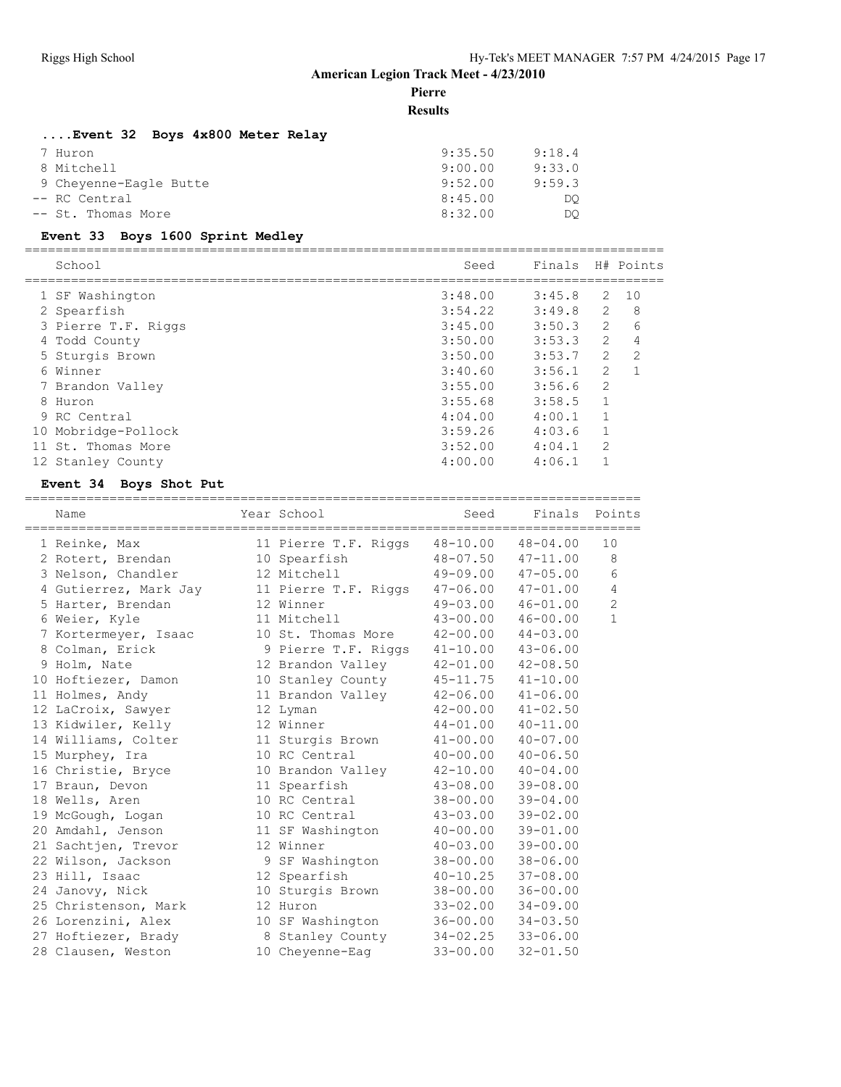**Pierre**

**Results**

#### **....Event 32 Boys 4x800 Meter Relay**

| 7 Huron                | 9:35.50 | 9:18.4 |
|------------------------|---------|--------|
| 8 Mitchell             | 9:00.00 | 9:33.0 |
| 9 Cheyenne-Eagle Butte | 9:52.00 | 9:59.3 |
| -- RC Central          | 8:45.00 | DO     |
| -- St. Thomas More     | 8:32.00 | DO     |

#### **Event 33 Boys 1600 Sprint Medley**

=================================================================================== School Seed Finals H# Points =================================================================================== 1 SF Washington 3:48.00 3:45.8 2 10 2 Spearfish 3:54.22 3:49.8 2 8 3 Pierre T.F. Riggs 3:45.00 3:50.3 2 6 4 Todd County 3:50.00 3:53.3 2 4 5 Sturgis Brown 3:50.00 3:53.7 2 2 6 Winner 3:40.60 3:56.1 2 1 7 Brandon Valley 3:55.00 3:56.6 2 8 Huron 3:55.68 3:58.5 1 9 RC Central 4:04.00 4:00.1 1 10 Mobridge-Pollock 3:59.26 4:03.6 1 11 St. Thomas More 3:52.00 4:04.1 2 12 Stanley County 4:00.00 4:06.1 1

#### **Event 34 Boys Shot Put**

================================================================================ Name Year School Seed Finals Points ================================================================================ 1 Reinke, Max 11 Pierre T.F. Riggs 48-10.00 48-04.00 10 2 Rotert, Brendan 10 Spearfish 48-07.50 47-11.00 8 3 Nelson, Chandler 12 Mitchell 49-09.00 47-05.00 6 4 Gutierrez, Mark Jay 11 Pierre T.F. Riggs 47-06.00 47-01.00 4 5 Harter, Brendan 12 Winner 49-03.00 46-01.00 2 6 Weier, Kyle 11 Mitchell 43-00.00 46-00.00 1 7 Kortermeyer, Isaac 10 St. Thomas More 42-00.00 44-03.00 8 Colman, Erick 9 Pierre T.F. Riggs 41-10.00 43-06.00 9 Holm, Nate 12 Brandon Valley 42-01.00 42-08.50 10 Hoftiezer, Damon 10 Stanley County 45-11.75 41-10.00 11 Holmes, Andy 11 Brandon Valley 42-06.00 41-06.00 12 LaCroix, Sawyer 12 Lyman 42-00.00 41-02.50 13 Kidwiler, Kelly 12 Winner 44-01.00 40-11.00 14 Williams, Colter 11 Sturgis Brown 41-00.00 40-07.00 15 Murphey, Ira 10 RC Central 40-00.00 40-06.50 16 Christie, Bryce 10 Brandon Valley 42-10.00 40-04.00 17 Braun, Devon 11 Spearfish 43-08.00 39-08.00 18 Wells, Aren 10 RC Central 38-00.00 39-04.00 19 McGough, Logan 10 RC Central 43-03.00 39-02.00 20 Amdahl, Jenson 11 SF Washington 40-00.00 39-01.00 21 Sachtjen, Trevor 12 Winner 40-03.00 39-00.00 22 Wilson, Jackson 9 SF Washington 38-00.00 38-06.00 23 Hill, Isaac 12 Spearfish 40-10.25 37-08.00 24 Janovy, Nick 10 Sturgis Brown 38-00.00 36-00.00 25 Christenson, Mark 12 Huron 33-02.00 34-09.00 26 Lorenzini, Alex 10 SF Washington 36-00.00 34-03.50 27 Hoftiezer, Brady 8 Stanley County 34-02.25 33-06.00 28 Clausen, Weston 10 Cheyenne-Eag 33-00.00 32-01.50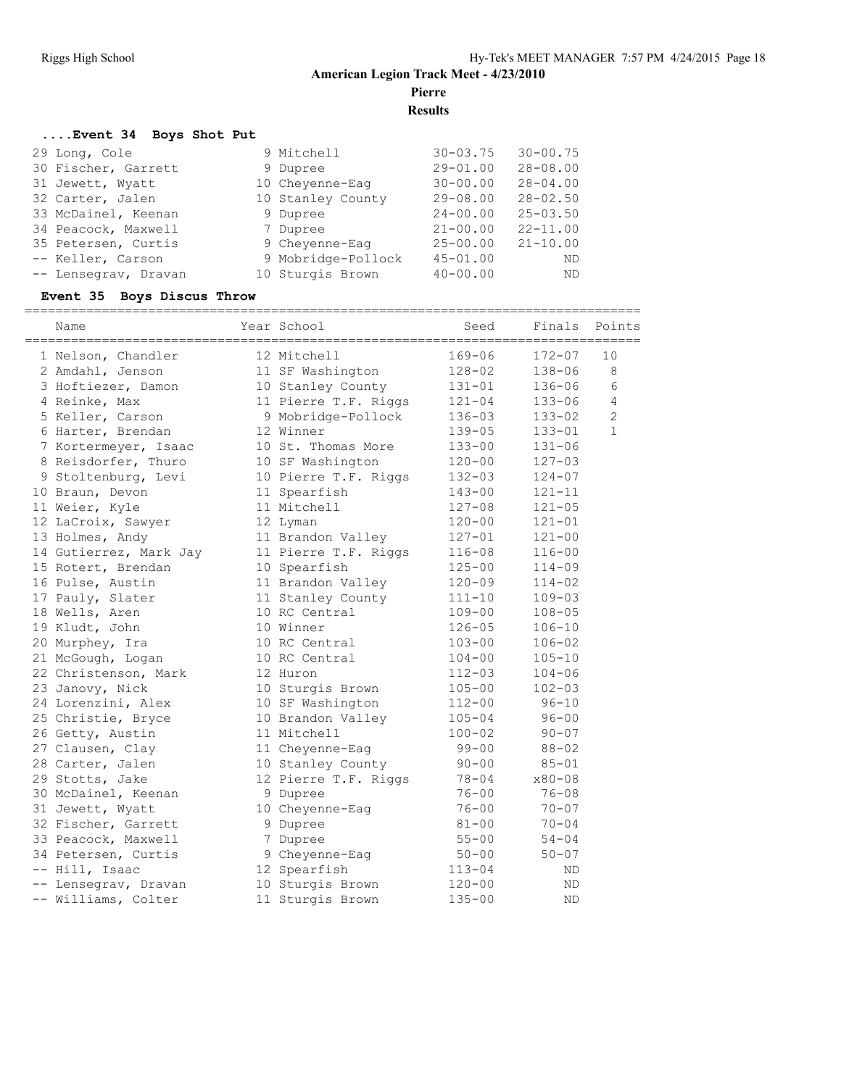**Pierre**

**Results**

## **....Event 34 Boys Shot Put**

| 29 Long, Cole        | 9 Mitchell         | $30 - 03.75$ | $30 - 00.75$ |
|----------------------|--------------------|--------------|--------------|
| 30 Fischer, Garrett  | 9 Dupree           | $29 - 01.00$ | $28 - 08.00$ |
| 31 Jewett, Wyatt     | 10 Cheyenne-Eaq    | $30 - 00.00$ | $28 - 04.00$ |
| 32 Carter, Jalen     | 10 Stanley County  | $29 - 08.00$ | $28 - 02.50$ |
| 33 McDainel, Keenan  | 9 Dupree           | $24 - 00.00$ | $25 - 03.50$ |
| 34 Peacock, Maxwell  | 7 Dupree           | $21 - 00.00$ | $22 - 11.00$ |
| 35 Petersen, Curtis  | 9 Chevenne-Eag     | $25 - 00.00$ | $21 - 10.00$ |
| -- Keller, Carson    | 9 Mobridge-Pollock | $45 - 01.00$ | ND.          |
| -- Lensegrav, Dravan | 10 Sturgis Brown   | $40 - 00.00$ | ND.          |

## **Event 35 Boys Discus Throw**

| Name                   | Year School          | Seed       | Finals     | Points         |
|------------------------|----------------------|------------|------------|----------------|
| 1 Nelson, Chandler     | 12 Mitchell          | $169 - 06$ | $172 - 07$ | 10             |
| 2 Amdahl, Jenson       | 11 SF Washington     | $128 - 02$ | $138 - 06$ | 8              |
| 3 Hoftiezer, Damon     | 10 Stanley County    | $131 - 01$ | $136 - 06$ | 6              |
| 4 Reinke, Max          | 11 Pierre T.F. Riggs | $121 - 04$ | $133 - 06$ | 4              |
| 5 Keller, Carson       | 9 Mobridge-Pollock   | $136 - 03$ | $133 - 02$ | $\overline{2}$ |
| 6 Harter, Brendan      | 12 Winner            | $139 - 05$ | $133 - 01$ | $\mathbf{1}$   |
| 7 Kortermeyer, Isaac   | 10 St. Thomas More   | $133 - 00$ | $131 - 06$ |                |
| 8 Reisdorfer, Thuro    | 10 SF Washington     | $120 - 00$ | $127 - 03$ |                |
| 9 Stoltenburg, Levi    | 10 Pierre T.F. Riggs | $132 - 03$ | $124 - 07$ |                |
| 10 Braun, Devon        | 11 Spearfish         | $143 - 00$ | $121 - 11$ |                |
| 11 Weier, Kyle         | 11 Mitchell          | $127 - 08$ | $121 - 05$ |                |
| 12 LaCroix, Sawyer     | 12 Lyman             | $120 - 00$ | $121 - 01$ |                |
| 13 Holmes, Andy        | 11 Brandon Valley    | $127 - 01$ | $121 - 00$ |                |
| 14 Gutierrez, Mark Jay | 11 Pierre T.F. Riggs | $116 - 08$ | $116 - 00$ |                |
| 15 Rotert, Brendan     | 10 Spearfish         | $125 - 00$ | $114 - 09$ |                |
| 16 Pulse, Austin       | 11 Brandon Valley    | $120 - 09$ | $114 - 02$ |                |
| 17 Pauly, Slater       | 11 Stanley County    | $111 - 10$ | $109 - 03$ |                |
| 18 Wells, Aren         | 10 RC Central        | $109 - 00$ | $108 - 05$ |                |
| 19 Kludt, John         | 10 Winner            | $126 - 05$ | $106 - 10$ |                |
| 20 Murphey, Ira        | 10 RC Central        | $103 - 00$ | $106 - 02$ |                |
| 21 McGough, Logan      | 10 RC Central        | $104 - 00$ | $105 - 10$ |                |
| 22 Christenson, Mark   | 12 Huron             | $112 - 03$ | $104 - 06$ |                |
| 23 Janovy, Nick        | 10 Sturgis Brown     | $105 - 00$ | $102 - 03$ |                |
| 24 Lorenzini, Alex     | 10 SF Washington     | $112 - 00$ | $96 - 10$  |                |
| 25 Christie, Bryce     | 10 Brandon Valley    | $105 - 04$ | $96 - 00$  |                |
| 26 Getty, Austin       | 11 Mitchell          | $100 - 02$ | $90 - 07$  |                |
| 27 Clausen, Clay       | 11 Cheyenne-Eag      | $99 - 00$  | $88 - 02$  |                |
| 28 Carter, Jalen       | 10 Stanley County    | $90 - 00$  | $85 - 01$  |                |
| 29 Stotts, Jake        | 12 Pierre T.F. Riggs | $78 - 04$  | $x80 - 08$ |                |
| 30 McDainel, Keenan    | 9 Dupree             | $76 - 00$  | $76 - 08$  |                |
| 31 Jewett, Wyatt       | 10 Cheyenne-Eag      | $76 - 00$  | $70 - 07$  |                |
| 32 Fischer, Garrett    | 9 Dupree             | $81 - 00$  | $70 - 04$  |                |
| 33 Peacock, Maxwell    | 7 Dupree             | $55 - 00$  | $54 - 04$  |                |
| 34 Petersen, Curtis    | 9 Cheyenne-Eag       | $50 - 00$  | $50 - 07$  |                |
| -- Hill, Isaac         | 12 Spearfish         | $113 - 04$ | ΝD         |                |
| -- Lensegrav, Dravan   | 10 Sturgis Brown     | $120 - 00$ | <b>ND</b>  |                |
| -- Williams, Colter    | 11 Sturgis Brown     | $135 - 00$ | <b>ND</b>  |                |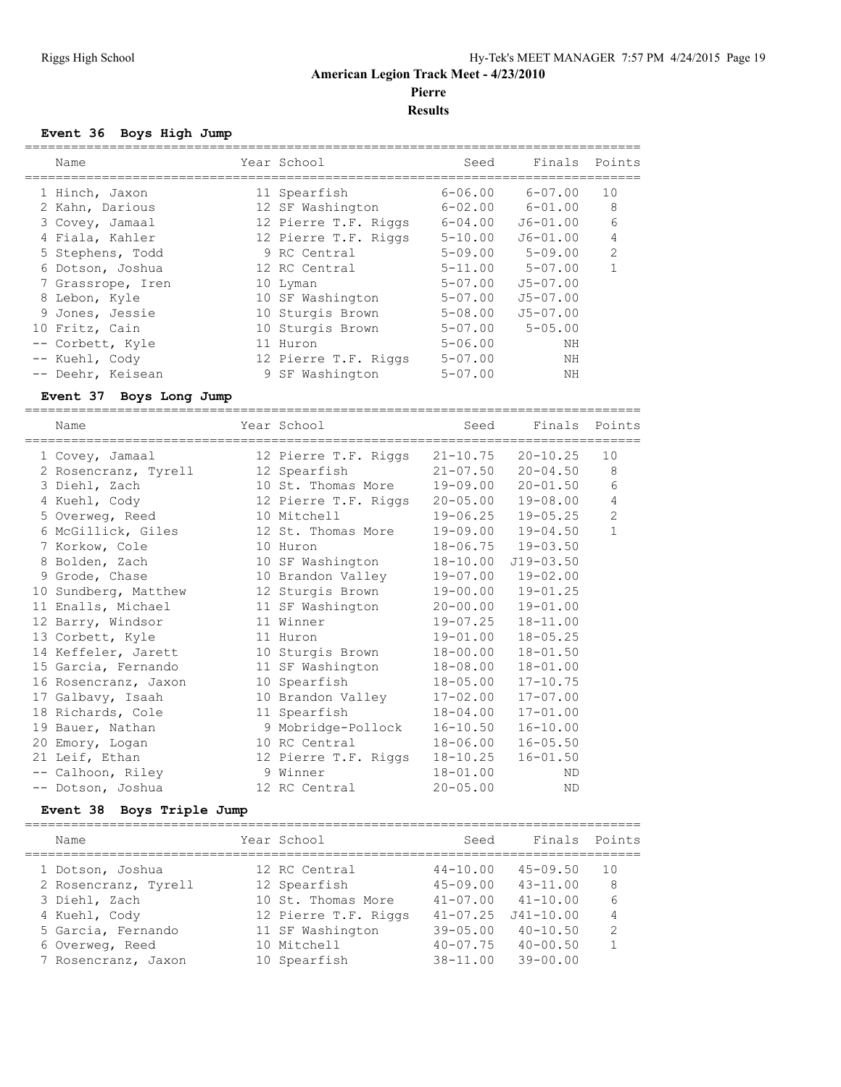**Pierre**

### **Results**

#### **Event 36 Boys High Jump**

|      | Name              | Year School          | Seed        | Finals Points  |               |
|------|-------------------|----------------------|-------------|----------------|---------------|
|      | 1 Hinch, Jaxon    | 11 Spearfish         | $6 - 06.00$ | $6 - 07.00$    | 10            |
|      | 2 Kahn, Darious   | 12 SF Washington     | $6 - 02.00$ | $6 - 01.00$    | 8             |
|      | 3 Covey, Jamaal   | 12 Pierre T.F. Riggs | $6 - 04.00$ | $J6 - 01.00$   | 6             |
|      | 4 Fiala, Kahler   | 12 Pierre T.F. Riggs | $5 - 10.00$ | $J6 - 01.00$   | 4             |
|      | 5 Stephens, Todd  | 9 RC Central         | $5 - 09.00$ | $5 - 09.00$    | $\mathcal{L}$ |
|      | 6 Dotson, Joshua  | 12 RC Central        | $5 - 11.00$ | $5 - 07.00$    |               |
|      | 7 Grassrope, Iren | 10 Lyman             | $5 - 07.00$ | $J5 - 07.00$   |               |
|      | 8 Lebon, Kyle     | 10 SF Washington     | $5 - 07.00$ | $J5 - 07.00$   |               |
|      | 9 Jones, Jessie   | 10 Sturgis Brown     | $5 - 08.00$ | $J5 - 07.00$   |               |
|      | 10 Fritz, Cain    | 10 Sturgis Brown     | $5 - 07.00$ | $5 - 0.5$ , 00 |               |
|      | -- Corbett, Kyle  | 11 Huron             | $5 - 06.00$ | ΝH             |               |
| $--$ | Kuehl, Cody       | 12 Pierre T.F. Riggs | $5 - 07.00$ | NΗ             |               |
|      | -- Deehr, Keisean | 9 SF Washington      | $5 - 07.00$ | ΝH             |               |
|      |                   |                      |             |                |               |

## **Event 37 Boys Long Jump**

================================================================================ Name **Name** Year School Seed Finals Points ================================================================================ 1 Covey, Jamaal 12 Pierre T.F. Riggs 21-10.75 20-10.25 10 2 Rosencranz, Tyrell 12 Spearfish 21-07.50 20-04.50 8 3 Diehl, Zach 10 St. Thomas More 19-09.00 20-01.50 6 4 Kuehl, Cody 12 Pierre T.F. Riggs 20-05.00 19-08.00 4 5 Overweg, Reed 10 Mitchell 19-06.25 19-05.25 2 6 McGillick, Giles 12 St. Thomas More 19-09.00 19-04.50 1 7 Korkow, Cole 10 Huron 18-06.75 19-03.50 8 Bolden, Zach 10 SF Washington 18-10.00 J19-03.50 9 Grode, Chase 10 Brandon Valley 19-07.00 19-02.00 10 Sundberg, Matthew 12 Sturgis Brown 19-00.00 19-01.25 11 Enalls, Michael 11 SF Washington 20-00.00 19-01.00 12 Barry, Windsor 11 Winner 19-07.25 18-11.00 13 Corbett, Kyle 11 Huron 19-01.00 18-05.25 14 Keffeler, Jarett 10 Sturgis Brown 18-00.00 18-01.50 15 Garcia, Fernando 11 SF Washington 18-08.00 18-01.00 16 Rosencranz, Jaxon 10 Spearfish 18-05.00 17-10.75 17 Galbavy, Isaah 10 Brandon Valley 17-02.00 17-07.00 18 Richards, Cole 11 Spearfish 18-04.00 17-01.00 19 Bauer, Nathan 9 Mobridge-Pollock 16-10.50 16-10.00 20 Emory, Logan 10 RC Central 18-06.00 16-05.50 21 Leif, Ethan 12 Pierre T.F. Riggs 18-10.25 16-01.50 -- Calhoon, Riley 9 Winner 18-01.00 ND -- Dotson, Joshua 12 RC Central 20-05.00 ND

#### **Event 38 Boys Triple Jump**

| Name                 | Year School          | Seed         | Finals Points |               |
|----------------------|----------------------|--------------|---------------|---------------|
| 1 Dotson, Joshua     | 12 RC Central        | $44 - 10.00$ | $45 - 09.50$  | 10            |
| 2 Rosencranz, Tyrell | 12 Spearfish         | $45 - 09.00$ | $43 - 11.00$  | 8             |
| 3 Diehl, Zach        | 10 St. Thomas More   | $41 - 07.00$ | $41 - 10.00$  | 6             |
| 4 Kuehl, Cody        | 12 Pierre T.F. Riggs | $41 - 07.25$ | $J41 - 10.00$ | 4             |
| 5 Garcia, Fernando   | 11 SF Washington     | $39 - 05.00$ | $40 - 10.50$  | $\mathcal{L}$ |
| 6 Overweg, Reed      | 10 Mitchell          | $40 - 07.75$ | $40 - 00.50$  |               |
| 7 Rosencranz, Jaxon  | 10 Spearfish         | $38 - 11.00$ | $39 - 00.00$  |               |
|                      |                      |              |               |               |